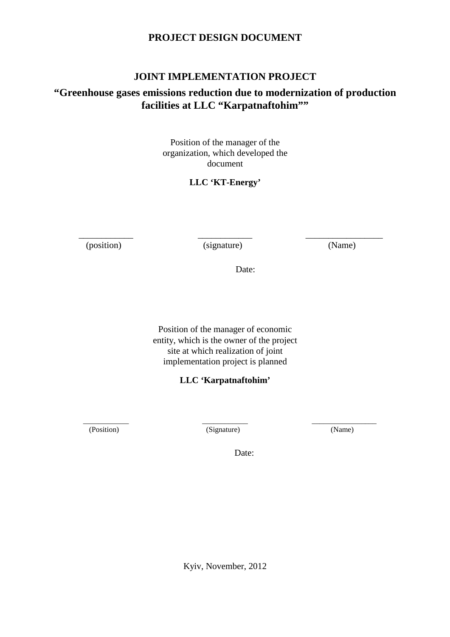# **PROJECT DESIGN DOCUMENT**

# **JOINT IMPLEMENTATION PROJECT**

# **"Greenhouse gases emissions reduction due to modernization of production facilities at LLC "Karpatnaftohim""**

Position of the manager of the organization, which developed the document

# **LLC 'KT-Energy'**

\_\_\_\_\_\_\_\_\_\_\_\_ (position)

\_\_\_\_\_\_\_\_\_\_\_\_ (signature)

\_\_\_\_\_\_\_\_\_\_\_\_\_\_\_\_\_ (Name)

Date:

Position of the manager of economic entity, which is the owner of the project site at which realization of joint implementation project is planned

**LLC 'Karpatnaftohim'** 

\_\_\_\_\_\_\_\_\_\_\_\_ (Position)

\_\_\_\_\_\_\_\_\_\_\_\_ (Signature)

\_\_\_\_\_\_\_\_\_\_\_\_\_\_\_\_\_ (Name)

Date:

Kyiv, November, 2012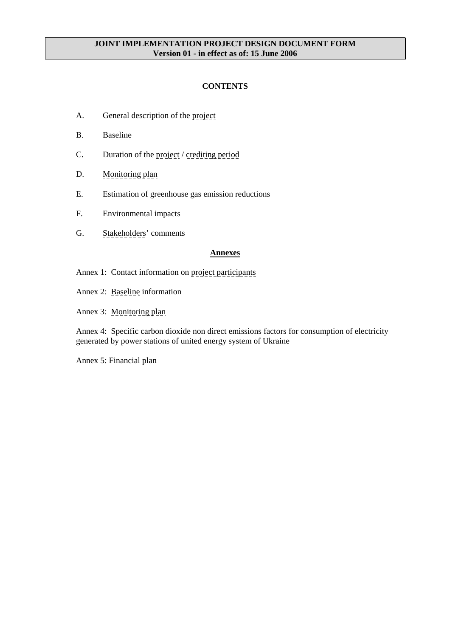## **JOINT IMPLEMENTATION PROJECT DESIGN DOCUMENT FORM Version 01 - in effect as of: 15 June 2006**

## **CONTENTS**

- A. General description of the project
- B. Baseline
- C. Duration of the project / crediting period
- D. Monitoring plan
- E. Estimation of greenhouse gas emission reductions
- F. Environmental impacts
- G. Stakeholders' comments

#### **Annexes**

- Annex 1: Contact information on project participants
- Annex 2: Baseline information
- Annex 3: Monitoring plan

Annex 4: Specific carbon dioxide non direct emissions factors for consumption of electricity generated by power stations of united energy system of Ukraine

Annex 5: Financial plan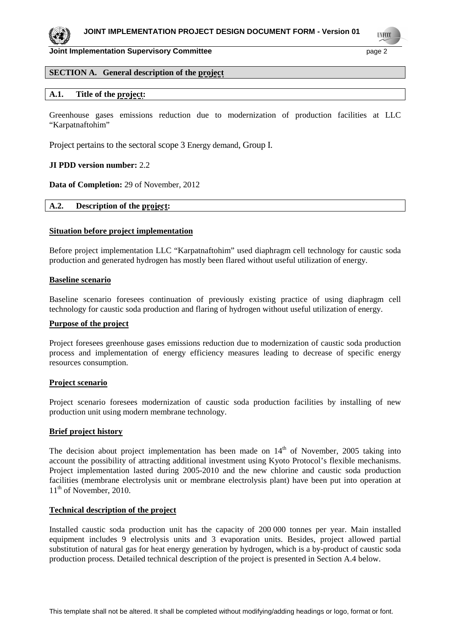

**TIVECO** 

**Joint Implementation Supervisory Committee** page 2

## **SECTION A. General description of the project**

## **A.1. Title of the project:**

Greenhouse gases emissions reduction due to modernization of production facilities at LLC "Karpatnaftohim"

Project pertains to the sectoral scope 3 Energy demand, Group I.

## **JI PDD version number:** 2.2

**Data of Completion:** 29 of November, 2012

## **A.2. Description of the project:**

#### **Situation before project implementation**

Before project implementation LLC "Karpatnaftohim" used diaphragm cell technology for caustic soda production and generated hydrogen has mostly been flared without useful utilization of energy.

#### **Baseline scenario**

Baseline scenario foresees continuation of previously existing practice of using diaphragm cell technology for caustic soda production and flaring of hydrogen without useful utilization of energy.

#### **Purpose of the project**

Project foresees greenhouse gases emissions reduction due to modernization of caustic soda production process and implementation of energy efficiency measures leading to decrease of specific energy resources consumption.

#### **Project scenario**

Project scenario foresees modernization of caustic soda production facilities by installing of new production unit using modern membrane technology.

#### **Brief project history**

The decision about project implementation has been made on  $14<sup>th</sup>$  of November, 2005 taking into account the possibility of attracting additional investment using Kyoto Protocol's flexible mechanisms. Project implementation lasted during 2005-2010 and the new chlorine and caustic soda production facilities (membrane electrolysis unit or membrane electrolysis plant) have been put into operation at  $11<sup>th</sup>$  of November, 2010.

#### **Technical description of the project**

Installed caustic soda production unit has the capacity of 200 000 tonnes per year. Main installed equipment includes 9 electrolysis units and 3 evaporation units. Besides, project allowed partial substitution of natural gas for heat energy generation by hydrogen, which is a by-product of caustic soda production process. Detailed technical description of the project is presented in Section A.4 below.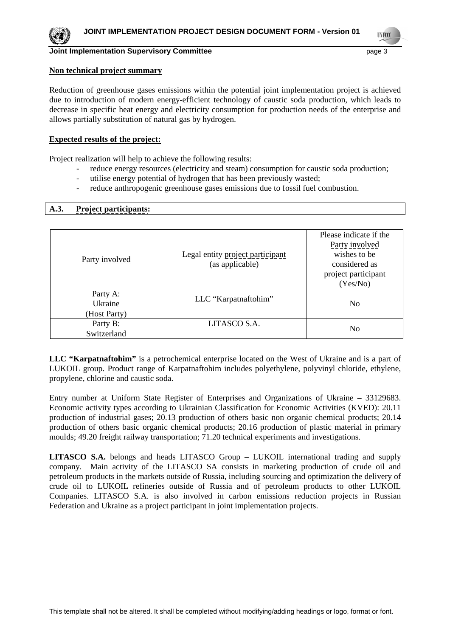**TIVECO** 

# **Joint Implementation Supervisory Committee** page 3

#### **Non technical project summary**

Reduction of greenhouse gases emissions within the potential joint implementation project is achieved due to introduction of modern energy-efficient technology of caustic soda production, which leads to decrease in specific heat energy and electricity consumption for production needs of the enterprise and allows partially substitution of natural gas by hydrogen.

## **Expected results of the project:**

Project realization will help to achieve the following results:

- reduce energy resources (electricity and steam) consumption for caustic soda production;
- utilise energy potential of hydrogen that has been previously wasted:
- reduce anthropogenic greenhouse gases emissions due to fossil fuel combustion.

## **A.3. Project participants:**

| Party involved                      | Legal entity project participant<br>(as applicable) | Please indicate if the<br>Party involved<br>wishes to be<br>considered as<br>project participant<br>(Yes/No) |
|-------------------------------------|-----------------------------------------------------|--------------------------------------------------------------------------------------------------------------|
| Party A:<br>Ukraine<br>(Host Party) | LLC "Karpatnaftohim"                                | N <sub>0</sub>                                                                                               |
| Party B:<br>Switzerland             | LITASCO S.A.                                        | No                                                                                                           |

**LLC "Karpatnaftohim"** is a petrochemical enterprise located on the West of Ukraine and is a part of LUKOIL group. Product range of Karpatnaftohim includes polyethylene, polyvinyl chloride, ethylene, propylene, chlorine and caustic soda.

Entry number at Uniform State Register of Enterprises and Organizations of Ukraine – 33129683. Economic activity types according to Ukrainian Classification for Economic Activities (KVED): 20.11 production of industrial gases; 20.13 production of others basic non organic chemical products; 20.14 production of others basic organic chemical products; 20.16 production of plastic material in primary moulds; 49.20 freight railway transportation; 71.20 technical experiments and investigations.

**LITASCO S.A.** belongs and heads LITASCO Group – LUKOIL international trading and supply company. Main activity of the LITASCO SA consists in marketing production of crude oil and petroleum products in the markets outside of Russia, including sourcing and optimization the delivery of crude oil to LUKOIL refineries outside of Russia and of petroleum products to other LUKOIL Companies. LITASCO S.A. is also involved in carbon emissions reduction projects in Russian Federation and Ukraine as a project participant in joint implementation projects.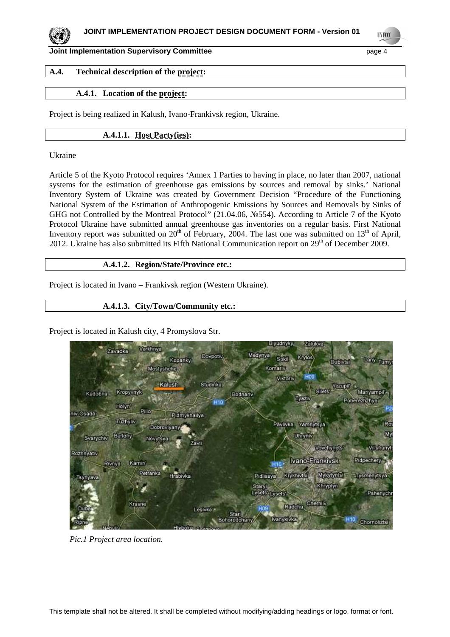

**UNFCCC** 

**Joint Implementation Supervisory Committee** page 4

## **A.4. Technical description of the project:**

## **A.4.1. Location of the project:**

Project is being realized in Kalush, Ivano-Frankivsk region, Ukraine.

## **A.4.1.1. Host Party(ies):**

Ukraine

Article 5 of the Kyoto Protocol requires 'Annex 1 Parties to having in place, no later than 2007, national systems for the estimation of greenhouse gas emissions by sources and removal by sinks.' National Inventory System of Ukraine was created by Government Decision "Procedure of the Functioning National System of the Estimation of Anthropogenic Emissions by Sources and Removals by Sinks of GHG not Controlled by the Montreal Protocol" (21.04.06, №554). According to Article 7 of the Kyoto Protocol Ukraine have submitted annual greenhouse gas inventories on a regular basis. First National Inventory report was submitted on  $20<sup>th</sup>$  of February, 2004. The last one was submitted on  $13<sup>th</sup>$  of April, 2012. Ukraine has also submitted its Fifth National Communication report on 29<sup>th</sup> of December 2009.

## **A.4.1.2. Region/State/Province etc.:**

Project is located in Ivano – Frankivsk region (Western Ukraine).

## **A.4.1.3. City/Town/Community etc.:**

Project is located in Kalush city, 4 Promyslova Str.



*Pic.1 Project area location.*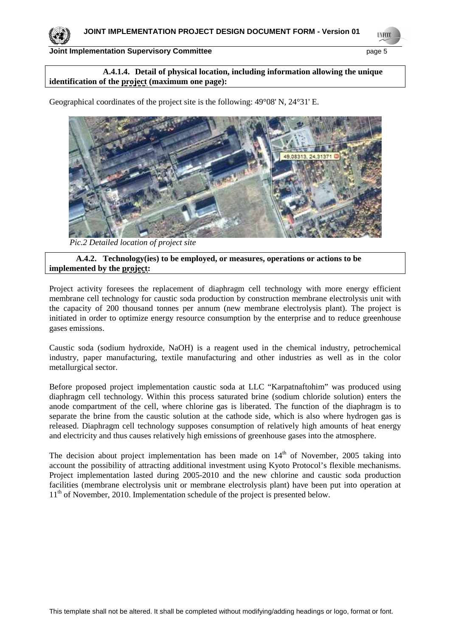

**INFOX** 

## **A.4.1.4. Detail of physical location, including information allowing the unique identification of the project (maximum one page):**

Geographical coordinates of the project site is the following: 49°08' N, 24°31' E.



*Pic.2 Detailed location of project site*

## **A.4.2. Technology(ies) to be employed, or measures, operations or actions to be implemented by the project:**

Project activity foresees the replacement of diaphragm cell technology with more energy efficient membrane cell technology for caustic soda production by construction membrane electrolysis unit with the capacity of 200 thousand tonnes per annum (new membrane electrolysis plant). The project is initiated in order to optimize energy resource consumption by the enterprise and to reduce greenhouse gases emissions.

Caustic soda (sodium hydroxide, NaOH) is a reagent used in the chemical industry, petrochemical industry, paper manufacturing, textile manufacturing and other industries as well as in the color metallurgical sector.

Before proposed project implementation caustic soda at LLC "Karpatnaftohim" was produced using diaphragm cell technology. Within this process saturated brine (sodium chloride solution) enters the anode compartment of the cell, where chlorine gas is liberated. The function of the diaphragm is to separate the brine from the caustic solution at the cathode side, which is also where hydrogen gas is released. Diaphragm cell technology supposes consumption of relatively high amounts of heat energy and electricity and thus causes relatively high emissions of greenhouse gases into the atmosphere.

The decision about project implementation has been made on  $14<sup>th</sup>$  of November, 2005 taking into account the possibility of attracting additional investment using Kyoto Protocol's flexible mechanisms. Project implementation lasted during 2005-2010 and the new chlorine and caustic soda production facilities (membrane electrolysis unit or membrane electrolysis plant) have been put into operation at 11<sup>th</sup> of November, 2010. Implementation schedule of the project is presented below.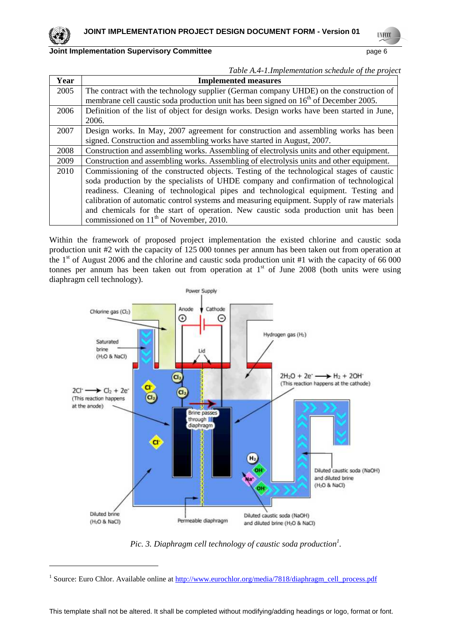$\overline{a}$ 

## **Joint Implementation Supervisory Committee** page 6

|  | Table A.4-1.Implementation schedule of the project |
|--|----------------------------------------------------|
|  |                                                    |

| Year | <b>Implemented measures</b>                                                                      |
|------|--------------------------------------------------------------------------------------------------|
| 2005 | The contract with the technology supplier (German company UHDE) on the construction of           |
|      | membrane cell caustic soda production unit has been signed on 16 <sup>th</sup> of December 2005. |
| 2006 | Definition of the list of object for design works. Design works have been started in June,       |
|      | 2006.                                                                                            |
| 2007 | Design works. In May, 2007 agreement for construction and assembling works has been              |
|      | signed. Construction and assembling works have started in August, 2007.                          |
| 2008 | Construction and assembling works. Assembling of electrolysis units and other equipment.         |
| 2009 | Construction and assembling works. Assembling of electrolysis units and other equipment.         |
| 2010 | Commissioning of the constructed objects. Testing of the technological stages of caustic         |
|      | soda production by the specialists of UHDE company and confirmation of technological             |
|      | readiness. Cleaning of technological pipes and technological equipment. Testing and              |
|      | calibration of automatic control systems and measuring equipment. Supply of raw materials        |
|      | and chemicals for the start of operation. New caustic soda production unit has been              |
|      | commissioned on 11 <sup>th</sup> of November, 2010.                                              |

Within the framework of proposed project implementation the existed chlorine and caustic soda production unit #2 with the capacity of 125 000 tonnes per annum has been taken out from operation at the  $1<sup>st</sup>$  of August 2006 and the chlorine and caustic soda production unit #1 with the capacity of 66 000 tonnes per annum has been taken out from operation at  $1<sup>st</sup>$  of June 2008 (both units were using diaphragm cell technology).



*Pic. 3. Diaphragm cell technology of caustic soda production<sup>1</sup> .* 

<sup>&</sup>lt;sup>1</sup> Source: Euro Chlor. Available online at http://www.eurochlor.org/media/7818/diaphragm\_cell\_process.pdf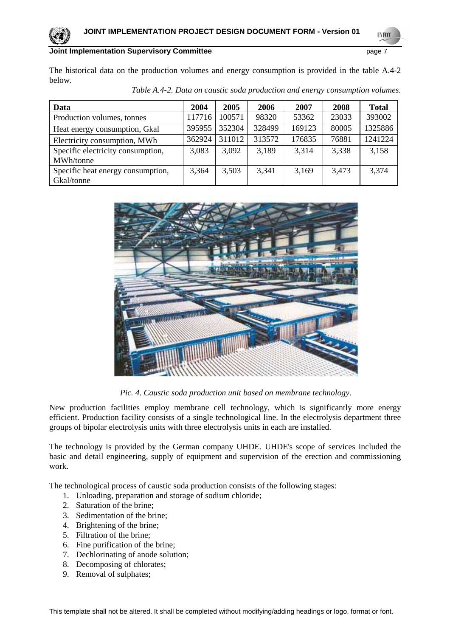```
UNFCCC
```
The historical data on the production volumes and energy consumption is provided in the table A.4-2 below.

| Data                              | 2004   | 2005   | 2006   | 2007   | 2008  | <b>Total</b> |
|-----------------------------------|--------|--------|--------|--------|-------|--------------|
| Production volumes, tonnes        | 117716 | 100571 | 98320  | 53362  | 23033 | 393002       |
| Heat energy consumption, Gkal     | 395955 | 352304 | 328499 | 169123 | 80005 | 1325886      |
| Electricity consumption, MWh      | 362924 | 311012 | 313572 | 176835 | 76881 | 1241224      |
| Specific electricity consumption, | 3,083  | 3,092  | 3,189  | 3,314  | 3,338 | 3,158        |
| MWh/tonne                         |        |        |        |        |       |              |
| Specific heat energy consumption, | 3,364  | 3,503  | 3,341  | 3,169  | 3,473 | 3,374        |
| Gkal/tonne                        |        |        |        |        |       |              |

*Table A.4-2. Data on caustic soda production and energy consumption volumes.* 



*Pic. 4. Caustic soda production unit based on membrane technology.* 

New production facilities employ membrane cell technology, which is significantly more energy efficient. Production facility consists of a single technological line. In the electrolysis department three groups of bipolar electrolysis units with three electrolysis units in each are installed.

The technology is provided by the German company UHDE. UHDE's scope of services included the basic and detail engineering, supply of equipment and supervision of the erection and commissioning work.

The technological process of caustic soda production consists of the following stages:

- 1. Unloading, preparation and storage of sodium chloride;
- 2. Saturation of the brine;
- 3. Sedimentation of the brine;
- 4. Brightening of the brine;
- 5. Filtration of the brine;
- 6. Fine purification of the brine;
- 7. Dechlorinating of anode solution;
- 8. Decomposing of chlorates;
- 9. Removal of sulphates;

This template shall not be altered. It shall be completed without modifying/adding headings or logo, format or font.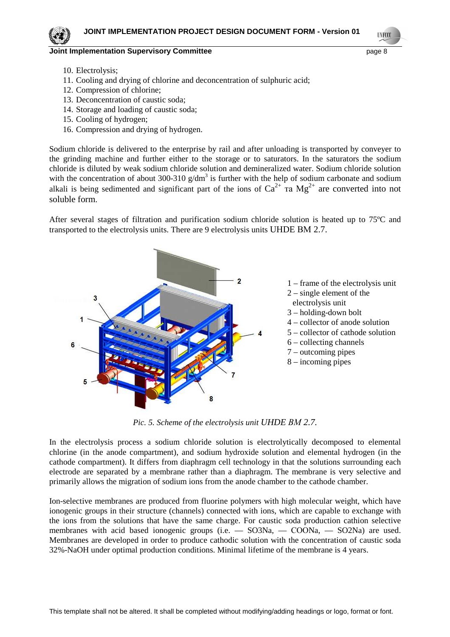**TNECO** 

- 10. Electrolysis;
- 11. Cooling and drying of chlorine and deconcentration of sulphuric acid;
- 12. Compression of chlorine;
- 13. Deconcentration of caustic soda;
- 14. Storage and loading of caustic soda;
- 15. Cooling of hydrogen;
- 16. Compression and drying of hydrogen.

Sodium chloride is delivered to the enterprise by rail and after unloading is transported by conveyer to the grinding machine and further either to the storage or to saturators. In the saturators the sodium chloride is diluted by weak sodium chloride solution and demineralized water. Sodium chloride solution with the concentration of about 300-310  $g/dm<sup>3</sup>$  is further with the help of sodium carbonate and sodium alkali is being sedimented and significant part of the ions of  $Ca^{2+}$  ra  $Mg^{2+}$  are converted into not soluble form.

After several stages of filtration and purification sodium chloride solution is heated up to 75ºC and transported to the electrolysis units. There are 9 electrolysis units UHDE ВМ 2.7.



*Pic. 5. Scheme of the electrolysis unit UHDE ВМ 2.7.* 

In the electrolysis process a sodium chloride solution is electrolytically decomposed to elemental chlorine (in the anode compartment), and sodium hydroxide solution and elemental hydrogen (in the cathode compartment). It differs from diaphragm cell technology in that the solutions surrounding each electrode are separated by a membrane rather than a diaphragm. The membrane is very selective and primarily allows the migration of sodium ions from the anode chamber to the cathode chamber.

Ion-selective membranes are produced from fluorine polymers with high molecular weight, which have ionogenic groups in their structure (channels) connected with ions, which are capable to exchange with the ions from the solutions that have the same charge. For caustic soda production cathion selective membranes with acid based ionogenic groups (i.e. — SO3Na, — СООNa, — SO2Na) are used. Membranes are developed in order to produce cathodic solution with the concentration of caustic soda 32%-NaOH under optimal production conditions. Minimal lifetime of the membrane is 4 years.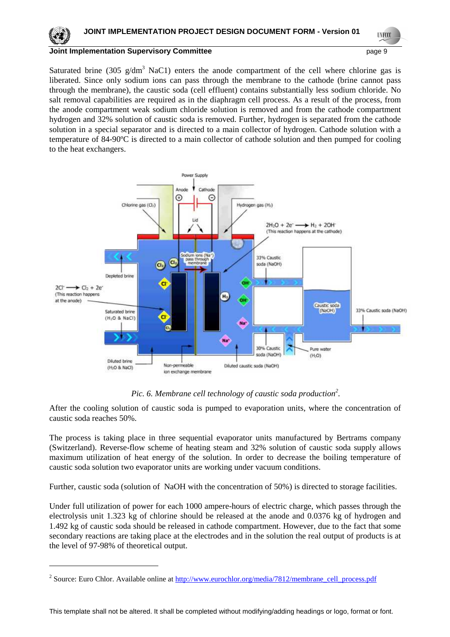**UNFCCC** 

Saturated brine (305  $g/dm<sup>3</sup>$  NaC1) enters the anode compartment of the cell where chlorine gas is liberated. Since only sodium ions can pass through the membrane to the cathode (brine cannot pass through the membrane), the caustic soda (cell effluent) contains substantially less sodium chloride. No salt removal capabilities are required as in the diaphragm cell process. As a result of the process, from the anode compartment weak sodium chloride solution is removed and from the cathode compartment hydrogen and 32% solution of caustic soda is removed. Further, hydrogen is separated from the cathode solution in a special separator and is directed to a main collector of hydrogen. Cathode solution with a temperature of 84-90ºC is directed to a main collector of cathode solution and then pumped for cooling to the heat exchangers.



## *Pic. 6. Membrane cell technology of caustic soda production<sup>2</sup> .*

After the cooling solution of caustic soda is pumped to evaporation units, where the concentration of caustic soda reaches 50%.

The process is taking place in three sequential evaporator units manufactured by Bertrams company (Switzerland). Reverse-flow scheme of heating steam and 32% solution of caustic soda supply allows maximum utilization of heat energy of the solution. In order to decrease the boiling temperature of caustic soda solution two evaporator units are working under vacuum conditions.

Further, caustic soda (solution of NaOH with the concentration of 50%) is directed to storage facilities.

Under full utilization of power for each 1000 ampere-hours of electric charge, which passes through the electrolysis unit 1.323 kg of chlorine should be released at the anode and 0.0376 kg of hydrogen and 1.492 kg of caustic soda should be released in cathode compartment. However, due to the fact that some secondary reactions are taking place at the electrodes and in the solution the real output of products is at the level of 97-98% of theoretical output.

 $\overline{a}$ 

<sup>&</sup>lt;sup>2</sup> Source: Euro Chlor. Available online at http://www.eurochlor.org/media/7812/membrane\_cell\_process.pdf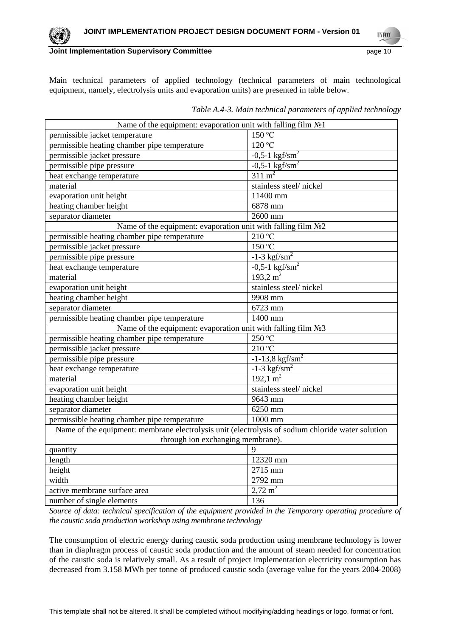**UNFCC** 

Main technical parameters of applied technology (technical parameters of main technological equipment, namely, electrolysis units and evaporation units) are presented in table below.

| Name of the equipment: evaporation unit with falling film $N21$                                   |                               |  |  |
|---------------------------------------------------------------------------------------------------|-------------------------------|--|--|
| permissible jacket temperature                                                                    | 150 °C                        |  |  |
| permissible heating chamber pipe temperature                                                      | 120 °C                        |  |  |
| permissible jacket pressure                                                                       | $-0,5-1$ kgf/sm <sup>2</sup>  |  |  |
| permissible pipe pressure                                                                         | $-0.5-1$ kgf/sm <sup>2</sup>  |  |  |
| heat exchange temperature                                                                         | $311 \text{ m}^2$             |  |  |
| material                                                                                          | stainless steel/nickel        |  |  |
| evaporation unit height                                                                           | 11400 mm                      |  |  |
| heating chamber height                                                                            | 6878 mm                       |  |  |
| separator diameter                                                                                | 2600 mm                       |  |  |
| Name of the equipment: evaporation unit with falling film No2                                     |                               |  |  |
| permissible heating chamber pipe temperature                                                      | 210 °C                        |  |  |
| permissible jacket pressure                                                                       | $150\text{ °C}$               |  |  |
| permissible pipe pressure                                                                         | $-1-3$ kgf/sm <sup>2</sup>    |  |  |
| heat exchange temperature                                                                         | $-0,5-1$ kgf/sm <sup>2</sup>  |  |  |
| material                                                                                          | 193,2 $m2$                    |  |  |
| evaporation unit height                                                                           | stainless steel/nickel        |  |  |
| heating chamber height                                                                            | 9908 mm                       |  |  |
| separator diameter                                                                                | 6723 mm                       |  |  |
| permissible heating chamber pipe temperature                                                      | 1400 mm                       |  |  |
| Name of the equipment: evaporation unit with falling film $N23$                                   |                               |  |  |
| permissible heating chamber pipe temperature                                                      | 250 °C                        |  |  |
| permissible jacket pressure                                                                       | 210 °C                        |  |  |
| permissible pipe pressure                                                                         | $-1-13,8$ kgf/sm <sup>2</sup> |  |  |
| heat exchange temperature                                                                         | $-1-3$ kgf/sm <sup>2</sup>    |  |  |
| material                                                                                          | $192.1 \text{ m}^2$           |  |  |
| evaporation unit height                                                                           | stainless steel/nickel        |  |  |
| heating chamber height                                                                            | 9643 mm                       |  |  |
| separator diameter                                                                                | 6250 mm                       |  |  |
| permissible heating chamber pipe temperature                                                      | 1000 mm                       |  |  |
| Name of the equipment: membrane electrolysis unit (electrolysis of sodium chloride water solution |                               |  |  |
| through ion exchanging membrane).                                                                 |                               |  |  |
| quantity                                                                                          | 9                             |  |  |
| length                                                                                            | 12320 mm                      |  |  |
| height                                                                                            | 2715 mm                       |  |  |
| width                                                                                             | 2792 mm                       |  |  |
| active membrane surface area                                                                      | $2,72 \text{ m}^2$            |  |  |
| number of single elements                                                                         | 136                           |  |  |

*Table A.4-3. Main technical parameters of applied technology* 

*Source of data: technical specification of the equipment provided in the Temporary operating procedure of the caustic soda production workshop using membrane technology* 

The consumption of electric energy during caustic soda production using membrane technology is lower than in diaphragm process of caustic soda production and the amount of steam needed for concentration of the caustic soda is relatively small. As a result of project implementation electricity consumption has decreased from 3.158 MWh per tonne of produced caustic soda (average value for the years 2004-2008)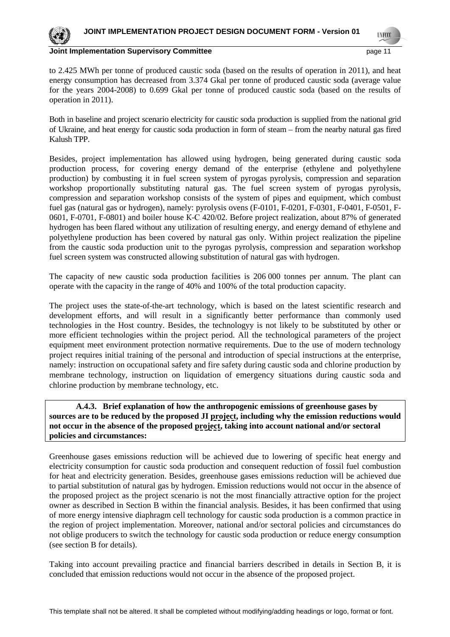

**TIVECO** 

#### **Joint Implementation Supervisory Committee** *page 11* **page 11**

to 2.425 MWh per tonne of produced caustic soda (based on the results of operation in 2011), and heat energy consumption has decreased from 3.374 Gkal per tonne of produced caustic soda (average value for the years 2004-2008) to 0.699 Gkal per tonne of produced caustic soda (based on the results of operation in 2011).

Both in baseline and project scenario electricity for caustic soda production is supplied from the national grid of Ukraine, and heat energy for caustic soda production in form of steam – from the nearby natural gas fired Kalush TPP.

Besides, project implementation has allowed using hydrogen, being generated during caustic soda production process, for covering energy demand of the enterprise (ethylene and polyethylene production) by combusting it in fuel screen system of pyrogas pyrolysis, compression and separation workshop proportionally substituting natural gas. The fuel screen system of pyrogas pyrolysis, compression and separation workshop consists of the system of pipes and equipment, which combust fuel gas (natural gas or hydrogen), namely: pyrolysis ovens (F-0101, F-0201, F-0301, F-0401, F-0501, F-0601, F-0701, F-0801) and boiler house К-С 420/02. Before project realization, about 87% of generated hydrogen has been flared without any utilization of resulting energy, and energy demand of ethylene and polyethylene production has been covered by natural gas only. Within project realization the pipeline from the caustic soda production unit to the pyrogas pyrolysis, compression and separation workshop fuel screen system was constructed allowing substitution of natural gas with hydrogen.

The capacity of new caustic soda production facilities is 206 000 tonnes per annum. The plant can operate with the capacity in the range of 40% and 100% of the total production capacity.

The project uses the state-of-the-art technology, which is based on the latest scientific research and development efforts, and will result in a significantly better performance than commonly used technologies in the Host country. Besides, the technologyy is not likely to be substituted by other or more efficient technologies within the project period. All the technological parameters of the project equipment meet environment protection normative requirements. Due to the use of modern technology project requires initial training of the personal and introduction of special instructions at the enterprise, namely: instruction on occupational safety and fire safety during caustic soda and chlorine production by membrane technology, instruction on liquidation of emergency situations during caustic soda and chlorine production by membrane technology, etc.

 **A.4.3. Brief explanation of how the anthropogenic emissions of greenhouse gases by sources are to be reduced by the proposed JI project, including why the emission reductions would not occur in the absence of the proposed project, taking into account national and/or sectoral policies and circumstances:**

Greenhouse gases emissions reduction will be achieved due to lowering of specific heat energy and electricity consumption for caustic soda production and consequent reduction of fossil fuel combustion for heat and electricity generation. Besides, greenhouse gases emissions reduction will be achieved due to partial substitution of natural gas by hydrogen. Emission reductions would not occur in the absence of the proposed project as the project scenario is not the most financially attractive option for the project owner as described in Section B within the financial analysis. Besides, it has been confirmed that using of more energy intensive diaphragm cell technology for caustic soda production is a common practice in the region of project implementation. Moreover, national and/or sectoral policies and circumstances do not oblige producers to switch the technology for caustic soda production or reduce energy consumption (see section B for details).

Taking into account prevailing practice and financial barriers described in details in Section B, it is concluded that emission reductions would not occur in the absence of the proposed project.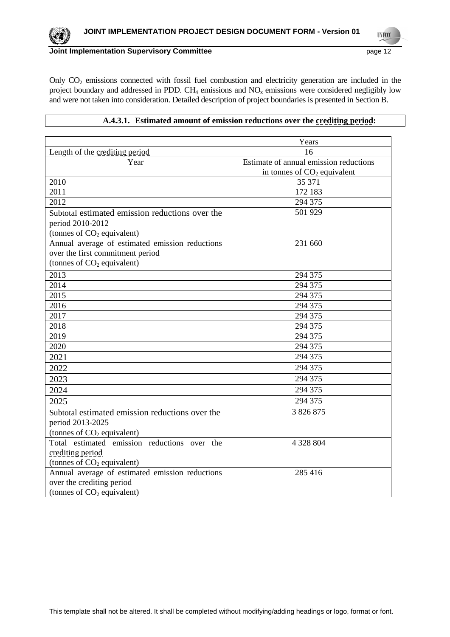**UNFCCC** 

## **Joint Implementation Supervisory Committee** <br>
page 12

Only CO2 emissions connected with fossil fuel combustion and electricity generation are included in the project boundary and addressed in PDD. CH<sub>4</sub> emissions and  $NO<sub>x</sub>$  emissions were considered negligibly low and were not taken into consideration. Detailed description of project boundaries is presented in Section B.

## **A.4.3.1. Estimated amount of emission reductions over the crediting period:**

|                                                 | Years                                  |
|-------------------------------------------------|----------------------------------------|
| Length of the crediting period                  | 16                                     |
| Year                                            | Estimate of annual emission reductions |
|                                                 | in tonnes of $CO2$ equivalent          |
| 2010                                            | 35 371                                 |
| 2011                                            | 172 183                                |
| 2012                                            | 294 375                                |
| Subtotal estimated emission reductions over the | 501 929                                |
| period 2010-2012                                |                                        |
| (tonnes of CO <sub>2</sub> equivalent)          |                                        |
| Annual average of estimated emission reductions | 231 660                                |
| over the first commitment period                |                                        |
| (tonnes of $CO2$ equivalent)                    |                                        |
| 2013                                            | 294 375                                |
| 2014                                            | 294 375                                |
| 2015                                            | 294 375                                |
| 2016                                            | 294 375                                |
| 2017                                            | 294 375                                |
| 2018                                            | 294 375                                |
| 2019                                            | 294 375                                |
| 2020                                            | 294 375                                |
| 2021                                            | 294 375                                |
| 2022                                            | 294 375                                |
| 2023                                            | 294 375                                |
| 2024                                            | 294 375                                |
| 2025                                            | 294 375                                |
| Subtotal estimated emission reductions over the | 3 826 875                              |
| period 2013-2025                                |                                        |
| (tonnes of $CO2$ equivalent)                    |                                        |
| Total estimated emission reductions over the    | 4 328 804                              |
| crediting period                                |                                        |
| (tonnes of $CO2$ equivalent)                    |                                        |
| Annual average of estimated emission reductions | 285 416                                |
| over the crediting period                       |                                        |
| (tonnes of CO <sub>2</sub> equivalent)          |                                        |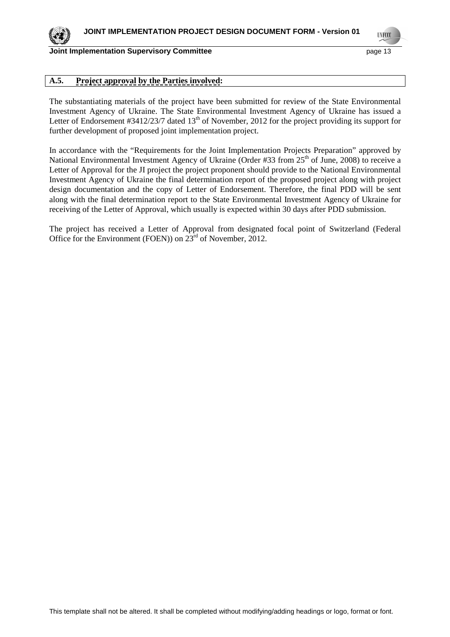

**TNECO** 

## **A.5. Project approval by the Parties involved:**

The substantiating materials of the project have been submitted for review of the State Environmental Investment Agency of Ukraine. The State Environmental Investment Agency of Ukraine has issued a Letter of Endorsement #3412/23/7 dated 13<sup>th</sup> of November, 2012 for the project providing its support for further development of proposed joint implementation project.

In accordance with the "Requirements for the Joint Implementation Projects Preparation" approved by National Environmental Investment Agency of Ukraine (Order #33 from  $25<sup>th</sup>$  of June, 2008) to receive a Letter of Approval for the JI project the project proponent should provide to the National Environmental Investment Agency of Ukraine the final determination report of the proposed project along with project design documentation and the copy of Letter of Endorsement. Therefore, the final PDD will be sent along with the final determination report to the State Environmental Investment Agency of Ukraine for receiving of the Letter of Approval, which usually is expected within 30 days after PDD submission.

The project has received a Letter of Approval from designated focal point of Switzerland (Federal Office for the Environment (FOEN)) on  $23<sup>rd</sup>$  of November, 2012.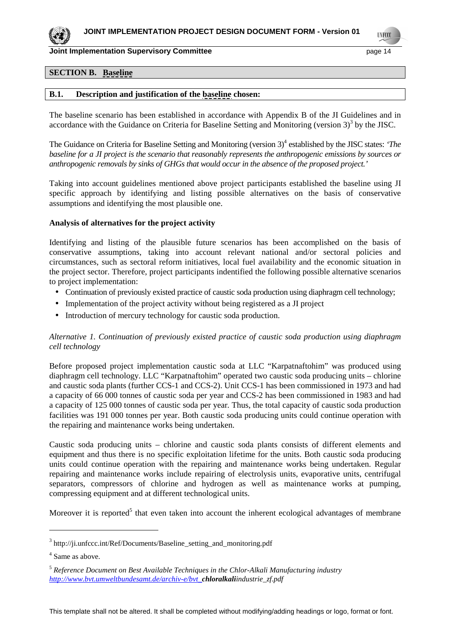

**Joint Implementation Supervisory Committee** *page* **14 and 50 and 514 and 52 and 52 and 53 and 54 and 54 and 55 and 55 and 55 and 55 and 55 and 55 and 55 and 55 and 55 and 55 and 55 and 55 and 55 and 55 and 55 and 55 and 55** 

**TNECO** 

## **SECTION B. Baseline**

#### **B.1. Description and justification of the baseline chosen:**

The baseline scenario has been established in accordance with Appendix B of the JI Guidelines and in accordance with the Guidance on Criteria for Baseline Setting and Monitoring (version  $3$ )<sup>3</sup> by the JISC.

The Guidance on Criteria for Baseline Setting and Monitoring (version 3)<sup>4</sup> established by the JISC states: 'The *baseline for a JI project is the scenario that reasonably represents the anthropogenic emissions by sources or anthropogenic removals by sinks of GHGs that would occur in the absence of the proposed project.'* 

Taking into account guidelines mentioned above project participants established the baseline using JI specific approach by identifying and listing possible alternatives on the basis of conservative assumptions and identifying the most plausible one.

#### **Analysis of alternatives for the project activity**

Identifying and listing of the plausible future scenarios has been accomplished on the basis of conservative assumptions, taking into account relevant national and/or sectoral policies and circumstances, such as sectoral reform initiatives, local fuel availability and the economic situation in the project sector. Therefore, project participants indentified the following possible alternative scenarios to project implementation:

- Continuation of previously existed practice of caustic soda production using diaphragm cell technology;
- Implementation of the project activity without being registered as a JI project
- Introduction of mercury technology for caustic soda production.

## *Alternative 1. Continuation of previously existed practice of caustic soda production using diaphragm cell technology*

Before proposed project implementation caustic soda at LLC "Karpatnaftohim" was produced using diaphragm cell technology. LLC "Karpatnaftohim" operated two caustic soda producing units – chlorine and caustic soda plants (further CCS-1 and CCS-2). Unit CCS-1 has been commissioned in 1973 and had a capacity of 66 000 tonnes of caustic soda per year and CCS-2 has been commissioned in 1983 and had a capacity of 125 000 tonnes of caustic soda per year*.* Thus, the total capacity of caustic soda production facilities was 191 000 tonnes per year. Both caustic soda producing units could continue operation with the repairing and maintenance works being undertaken.

Caustic soda producing units – chlorine and caustic soda plants consists of different elements and equipment and thus there is no specific exploitation lifetime for the units. Both caustic soda producing units could continue operation with the repairing and maintenance works being undertaken. Regular repairing and maintenance works include repairing of electrolysis units, evaporative units, centrifugal separators, compressors of chlorine and hydrogen as well as maintenance works at pumping, compressing equipment and at different technological units.

Moreover it is reported<sup>5</sup> that even taken into account the inherent ecological advantages of membrane

 $\overline{a}$ 

<sup>&</sup>lt;sup>3</sup> http://ji.unfccc.int/Ref/Documents/Baseline\_setting\_and\_monitoring.pdf

<sup>4</sup> Same as above.

<sup>5</sup> *Reference Document on Best Available Techniques in the Chlor-Alkali Manufacturing industry http://www.bvt.umweltbundesamt.de/archiv-e/bvt\_chloralkaliindustrie\_zf.pdf*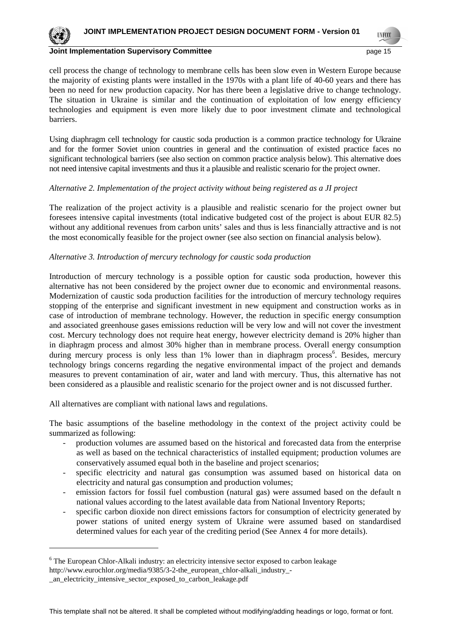**TNECO** 

cell process the change of technology to membrane cells has been slow even in Western Europe because the majority of existing plants were installed in the 1970s with a plant life of 40-60 years and there has been no need for new production capacity. Nor has there been a legislative drive to change technology. The situation in Ukraine is similar and the continuation of exploitation of low energy efficiency technologies and equipment is even more likely due to poor investment climate and technological barriers.

Using diaphragm cell technology for caustic soda production is a common practice technology for Ukraine and for the former Soviet union countries in general and the continuation of existed practice faces no significant technological barriers (see also section on common practice analysis below). This alternative does not need intensive capital investments and thus it a plausible and realistic scenario for the project owner.

## *Alternative 2. Implementation of the project activity without being registered as a JI project*

The realization of the project activity is a plausible and realistic scenario for the project owner but foresees intensive capital investments (total indicative budgeted cost of the project is about EUR 82.5) without any additional revenues from carbon units' sales and thus is less financially attractive and is not the most economically feasible for the project owner (see also section on financial analysis below).

## *Alternative 3. Introduction of mercury technology for caustic soda production*

Introduction of mercury technology is a possible option for caustic soda production, however this alternative has not been considered by the project owner due to economic and environmental reasons. Modernization of caustic soda production facilities for the introduction of mercury technology requires stopping of the enterprise and significant investment in new equipment and construction works as in case of introduction of membrane technology. However, the reduction in specific energy consumption and associated greenhouse gases emissions reduction will be very low and will not cover the investment cost. Mercury technology does not require heat energy, however electricity demand is 20% higher than in diaphragm process and almost 30% higher than in membrane process. Overall energy consumption during mercury process is only less than 1% lower than in diaphragm process<sup>6</sup>. Besides, mercury technology brings concerns regarding the negative environmental impact of the project and demands measures to prevent contamination of air, water and land with mercury. Thus, this alternative has not been considered as a plausible and realistic scenario for the project owner and is not discussed further.

All alternatives are compliant with national laws and regulations.

The basic assumptions of the baseline methodology in the context of the project activity could be summarized as following:

- production volumes are assumed based on the historical and forecasted data from the enterprise as well as based on the technical characteristics of installed equipment; production volumes are conservatively assumed equal both in the baseline and project scenarios;
- specific electricity and natural gas consumption was assumed based on historical data on electricity and natural gas consumption and production volumes;
- emission factors for fossil fuel combustion (natural gas) were assumed based on the default n national values according to the latest available data from National Inventory Reports;
- specific carbon dioxide non direct emissions factors for consumption of electricity generated by power stations of united energy system of Ukraine were assumed based on standardised determined values for each year of the crediting period (See Annex 4 for more details).

 $\overline{a}$ 

<sup>&</sup>lt;sup>6</sup> The European Chlor-Alkali industry: an electricity intensive sector exposed to carbon leakage http://www.eurochlor.org/media/9385/3-2-the\_european\_chlor-alkali\_industry\_-

\_an\_electricity\_intensive\_sector\_exposed\_to\_carbon\_leakage.pdf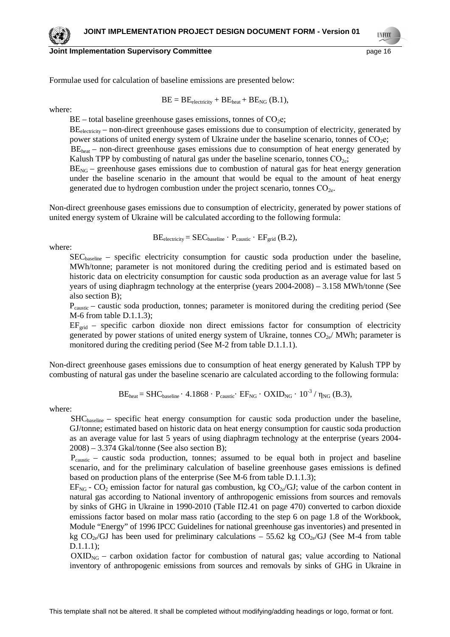#### **Joint Implementation Supervisory Committee** *page* **16 and the page 16**

**TNECO** 

Formulae used for calculation of baseline emissions are presented below:

$$
BE = BE_{electricity} + BE_{heat} + BE_{NG} (B.1),
$$

where:

 $BE$  – total baseline greenhouse gases emissions, tonnes of  $CO<sub>2</sub>e$ ;

 $BE<sub>electricity</sub>$  – non-direct greenhouse gases emissions due to consumption of electricity, generated by power stations of united energy system of Ukraine under the baseline scenario, tonnes of  $CO<sub>2</sub>e$ ;

BE<sub>heat</sub> – non-direct greenhouse gases emissions due to consumption of heat energy generated by Kalush TPP by combusting of natural gas under the baseline scenario, tonnes  $CO<sub>2e</sub>$ ;

 $BE<sub>NG</sub>$  – greenhouse gases emissions due to combustion of natural gas for heat energy generation under the baseline scenario in the amount that would be equal to the amount of heat energy generated due to hydrogen combustion under the project scenario, tonnes  $CO<sub>2e</sub>$ .

Non-direct greenhouse gases emissions due to consumption of electricity, generated by power stations of united energy system of Ukraine will be calculated according to the following formula:

where:

$$
BE_{electricity} = SEC_{baseline} \cdot P_{caustic} \cdot EF_{grid} (B.2),
$$

SECbaseline – specific electricity consumption for caustic soda production under the baseline, MWh/tonne; parameter is not monitored during the crediting period and is estimated based on historic data on electricity consumption for caustic soda production as an average value for last 5 years of using diaphragm technology at the enterprise (years 2004-2008) – 3.158 MWh/tonne (See also section B);

Pcaustic – caustic soda production, tonnes; parameter is monitored during the crediting period (See M-6 from table D.1.1.3);

 $EF_{\text{grid}}$  – specific carbon dioxide non direct emissions factor for consumption of electricity generated by power stations of united energy system of Ukraine, tonnes  $CO<sub>2e</sub>/MWh$ ; parameter is monitored during the crediting period (See M-2 from table D.1.1.1).

Non-direct greenhouse gases emissions due to consumption of heat energy generated by Kalush TPP by combusting of natural gas under the baseline scenario are calculated according to the following formula:

$$
BE_{heat} = SHC_{baseline} \cdot 4.1868 \cdot P_{caustic} \cdot EF_{NG} \cdot OXID_{NG} \cdot 10^{-3} / \eta_{NG} (B.3),
$$

where:

 $SHC_{baseline}$  – specific heat energy consumption for caustic soda production under the baseline, GJ/tonne; estimated based on historic data on heat energy consumption for caustic soda production as an average value for last 5 years of using diaphragm technology at the enterprise (years 2004- 2008) – 3.374 Gkal/tonne (See also section B);

 $P_{\text{caustic}}$  – caustic soda production, tonnes; assumed to be equal both in project and baseline scenario, and for the preliminary calculation of baseline greenhouse gases emissions is defined based on production plans of the enterprise (See M-6 from table D.1.1.3);

 $EF_{NG}$  -  $CO_2$  emission factor for natural gas combustion, kg  $CO_{2e}/GU$ ; value of the carbon content in natural gas according to National inventory of anthropogenic emissions from sources and removals by sinks of GHG in Ukraine in 1990-2010 (Table П2.41 on page 470) converted to carbon dioxide emissions factor based on molar mass ratio (according to the step 6 on page 1.8 of the Workbook, Module "Energy" of 1996 IPCC Guidelines for national greenhouse gas inventories) and presented in kg  $CO<sub>2e</sub>/GI$  has been used for preliminary calculations – 55.62 kg  $CO<sub>2e</sub>/GI$  (See M-4 from table D.1.1.1);

 $OXID<sub>NG</sub>$  – carbon oxidation factor for combustion of natural gas; value according to National inventory of anthropogenic emissions from sources and removals by sinks of GHG in Ukraine in

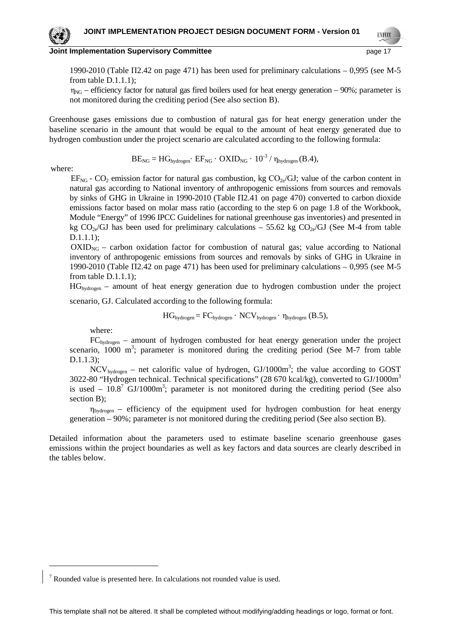#### **Joint Implementation Supervisory Committee** *page* **17 and the page 17**

1990-2010 (Table П2.42 on page 471) has been used for preliminary calculations – 0,995 (see M-5 from table D.1.1.1);

 $\eta_{NG}$  – efficiency factor for natural gas fired boilers used for heat energy generation – 90%; parameter is not monitored during the crediting period (See also section B).

Greenhouse gases emissions due to combustion of natural gas for heat energy generation under the baseline scenario in the amount that would be equal to the amount of heat energy generated due to hydrogen combustion under the project scenario are calculated according to the following formula:

$$
BE_{NG} = HG_{hydrogen} \cdot EF_{NG} \cdot OXID_{NG} \cdot 10^{-3} / \eta_{hydrogen}(B.4),
$$

where:

 $\overline{a}$ 

 $EF_{NG}$  -  $CO_2$  emission factor for natural gas combustion, kg  $CO_{2e}/GU$ ; value of the carbon content in natural gas according to National inventory of anthropogenic emissions from sources and removals by sinks of GHG in Ukraine in 1990-2010 (Table П2.41 on page 470) converted to carbon dioxide emissions factor based on molar mass ratio (according to the step 6 on page 1.8 of the Workbook, Module "Energy" of 1996 IPCC Guidelines for national greenhouse gas inventories) and presented in kg  $CO_{2e}/GJ$  has been used for preliminary calculations – 55.62 kg  $CO_{2e}/GJ$  (See M-4 from table D.1.1.1);

 $OXID<sub>NG</sub>$  – carbon oxidation factor for combustion of natural gas; value according to National inventory of anthropogenic emissions from sources and removals by sinks of GHG in Ukraine in 1990-2010 (Table П2.42 on page 471) has been used for preliminary calculations – 0,995 (see M-5 from table D.1.1.1);

 $HG_{hydrogen}$  – amount of heat energy generation due to hydrogen combustion under the project

scenario, GJ. Calculated according to the following formula:

$$
HG_{hydrogen} = FC_{hydrogen} \cdot NCV_{hydrogen} \cdot \eta_{hydrogen} (B.5),
$$

where:

FChydrogen – amount of hydrogen combusted for heat energy generation under the project scenario,  $1000 \text{ m}^3$ ; parameter is monitored during the crediting period (See M-7 from table D.1.1.3);

 $NCV_{hydrogen}$  – net calorific value of hydrogen,  $GI/1000m^3$ ; the value according to GOST 3022-80 "Hydrogen technical. Technical specifications" (28 670 kcal/kg), converted to GJ/1000m<sup>3</sup> is used  $-10.8^7$  GJ/1000m<sup>3</sup>; parameter is not monitored during the crediting period (See also section B);

 $\eta_{hydrogen}$  – efficiency of the equipment used for hydrogen combustion for heat energy generation – 90%; parameter is not monitored during the crediting period (See also section B).

Detailed information about the parameters used to estimate baseline scenario greenhouse gases emissions within the project boundaries as well as key factors and data sources are clearly described in the tables below.

<sup>7</sup> Rounded value is presented here. In calculations not rounded value is used.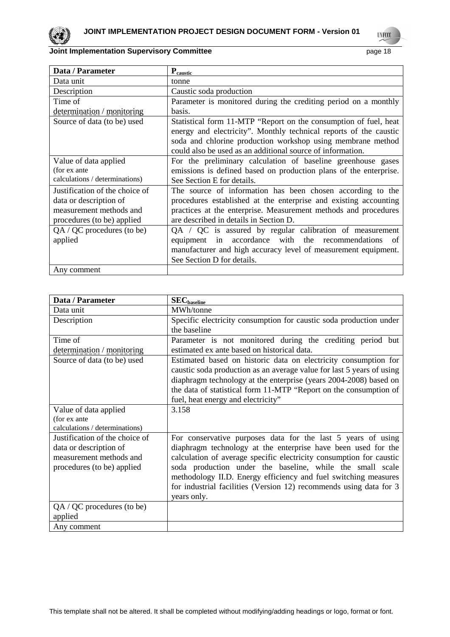

**UNFCCC** 

| Data / Parameter                                                                                                  | $P_{caustic}$                                                                                                                                                                                                                                                      |
|-------------------------------------------------------------------------------------------------------------------|--------------------------------------------------------------------------------------------------------------------------------------------------------------------------------------------------------------------------------------------------------------------|
| Data unit                                                                                                         | tonne                                                                                                                                                                                                                                                              |
| Description                                                                                                       | Caustic soda production                                                                                                                                                                                                                                            |
| Time of                                                                                                           | Parameter is monitored during the crediting period on a monthly                                                                                                                                                                                                    |
| determination / monitoring                                                                                        | basis.                                                                                                                                                                                                                                                             |
| Source of data (to be) used                                                                                       | Statistical form 11-MTP "Report on the consumption of fuel, heat<br>energy and electricity". Monthly technical reports of the caustic<br>soda and chlorine production workshop using membrane method<br>could also be used as an additional source of information. |
| Value of data applied                                                                                             | For the preliminary calculation of baseline greenhouse gases                                                                                                                                                                                                       |
| (for ex ante<br>calculations / determinations)                                                                    | emissions is defined based on production plans of the enterprise.<br>See Section E for details.                                                                                                                                                                    |
| Justification of the choice of<br>data or description of<br>measurement methods and<br>procedures (to be) applied | The source of information has been chosen according to the<br>procedures established at the enterprise and existing accounting<br>practices at the enterprise. Measurement methods and procedures<br>are described in details in Section D.                        |
| $QA / QC$ procedures (to be)<br>applied                                                                           | QA / QC is assured by regular calibration of measurement<br>equipment in accordance with the recommendations<br>of<br>manufacturer and high accuracy level of measurement equipment.<br>See Section D for details.                                                 |
| Any comment                                                                                                       |                                                                                                                                                                                                                                                                    |

| Data / Parameter               | $SEC_{baseline}$                                                      |
|--------------------------------|-----------------------------------------------------------------------|
| Data unit                      | MWh/tonne                                                             |
| Description                    | Specific electricity consumption for caustic soda production under    |
|                                | the baseline                                                          |
| Time of                        | Parameter is not monitored during the crediting period but            |
| determination / monitoring     | estimated ex ante based on historical data.                           |
| Source of data (to be) used    | Estimated based on historic data on electricity consumption for       |
|                                | caustic soda production as an average value for last 5 years of using |
|                                | diaphragm technology at the enterprise (years 2004-2008) based on     |
|                                | the data of statistical form 11-MTP "Report on the consumption of     |
|                                | fuel, heat energy and electricity"                                    |
| Value of data applied          | 3.158                                                                 |
| (for ex ante                   |                                                                       |
| calculations / determinations) |                                                                       |
| Justification of the choice of | For conservative purposes data for the last 5 years of using          |
| data or description of         | diaphragm technology at the enterprise have been used for the         |
| measurement methods and        | calculation of average specific electricity consumption for caustic   |
| procedures (to be) applied     | soda production under the baseline, while the small scale             |
|                                | methodology II.D. Energy efficiency and fuel switching measures       |
|                                | for industrial facilities (Version 12) recommends using data for 3    |
|                                | years only.                                                           |
| $QA / QC$ procedures (to be)   |                                                                       |
| applied                        |                                                                       |
| Any comment                    |                                                                       |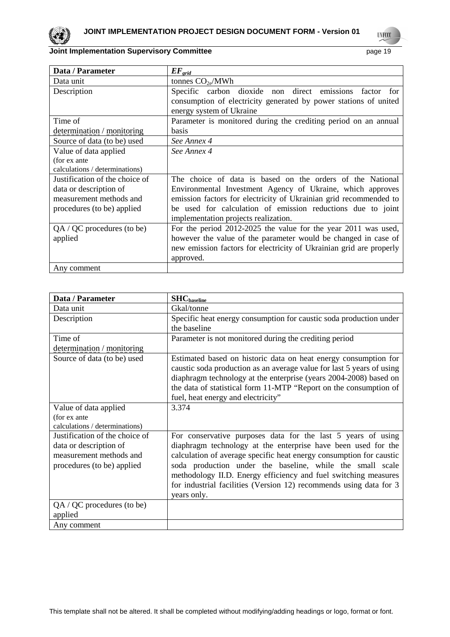

**UNFCCC** 

# **Joint Implementation Supervisory Committee** *page* **19 page 19**

| Data / Parameter               | $EF_{grid}$                                                         |
|--------------------------------|---------------------------------------------------------------------|
| Data unit                      | tonnes $CO2e/MWh$                                                   |
| Description                    | Specific carbon dioxide non direct emissions factor for             |
|                                | consumption of electricity generated by power stations of united    |
|                                | energy system of Ukraine                                            |
| Time of                        | Parameter is monitored during the crediting period on an annual     |
| determination / monitoring     | <b>basis</b>                                                        |
| Source of data (to be) used    | See Annex 4                                                         |
| Value of data applied          | See Annex 4                                                         |
| (for ex ante                   |                                                                     |
| calculations / determinations) |                                                                     |
| Justification of the choice of | The choice of data is based on the orders of the National           |
| data or description of         | Environmental Investment Agency of Ukraine, which approves          |
| measurement methods and        | emission factors for electricity of Ukrainian grid recommended to   |
| procedures (to be) applied     | be used for calculation of emission reductions due to joint         |
|                                | implementation projects realization.                                |
| $QA / QC$ procedures (to be)   | For the period 2012-2025 the value for the year 2011 was used,      |
| applied                        | however the value of the parameter would be changed in case of      |
|                                | new emission factors for electricity of Ukrainian grid are properly |
|                                | approved.                                                           |
| Any comment                    |                                                                     |

| Data / Parameter                                                                                                  | $SHC_{baseline}$                                                                                                                                                                                                                                                                                                                                                                                                          |
|-------------------------------------------------------------------------------------------------------------------|---------------------------------------------------------------------------------------------------------------------------------------------------------------------------------------------------------------------------------------------------------------------------------------------------------------------------------------------------------------------------------------------------------------------------|
| Data unit                                                                                                         | Gkal/tonne                                                                                                                                                                                                                                                                                                                                                                                                                |
| Description                                                                                                       | Specific heat energy consumption for caustic soda production under                                                                                                                                                                                                                                                                                                                                                        |
|                                                                                                                   | the baseline                                                                                                                                                                                                                                                                                                                                                                                                              |
| Time of                                                                                                           | Parameter is not monitored during the crediting period                                                                                                                                                                                                                                                                                                                                                                    |
| determination / monitoring                                                                                        |                                                                                                                                                                                                                                                                                                                                                                                                                           |
| Source of data (to be) used                                                                                       | Estimated based on historic data on heat energy consumption for<br>caustic soda production as an average value for last 5 years of using<br>diaphragm technology at the enterprise (years 2004-2008) based on<br>the data of statistical form 11-MTP "Report on the consumption of<br>fuel, heat energy and electricity"                                                                                                  |
| Value of data applied                                                                                             | 3.374                                                                                                                                                                                                                                                                                                                                                                                                                     |
| (for ex ante                                                                                                      |                                                                                                                                                                                                                                                                                                                                                                                                                           |
| calculations / determinations)                                                                                    |                                                                                                                                                                                                                                                                                                                                                                                                                           |
| Justification of the choice of<br>data or description of<br>measurement methods and<br>procedures (to be) applied | For conservative purposes data for the last 5 years of using<br>diaphragm technology at the enterprise have been used for the<br>calculation of average specific heat energy consumption for caustic<br>soda production under the baseline, while the small scale<br>methodology II.D. Energy efficiency and fuel switching measures<br>for industrial facilities (Version 12) recommends using data for 3<br>years only. |
| $QA / QC$ procedures (to be)<br>applied                                                                           |                                                                                                                                                                                                                                                                                                                                                                                                                           |
| Any comment                                                                                                       |                                                                                                                                                                                                                                                                                                                                                                                                                           |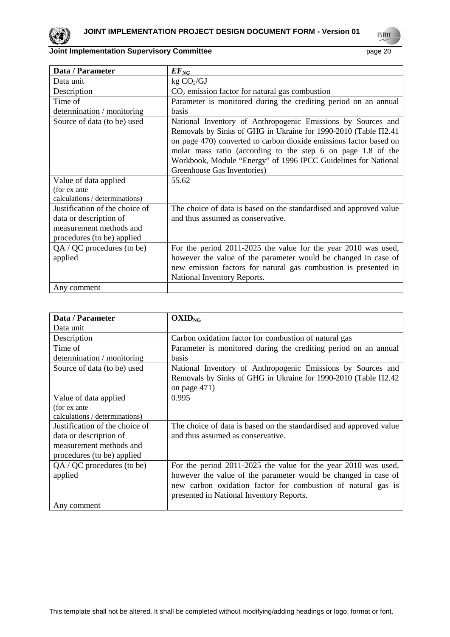

**UNFCCC** 

| Data / Parameter               | $EF_{NG}$                                                          |
|--------------------------------|--------------------------------------------------------------------|
| Data unit                      | kg CO <sub>2</sub> /GJ                                             |
| Description                    | $CO2$ emission factor for natural gas combustion                   |
| Time of                        | Parameter is monitored during the crediting period on an annual    |
| determination / monitoring     | <b>basis</b>                                                       |
| Source of data (to be) used    | National Inventory of Anthropogenic Emissions by Sources and       |
|                                | Removals by Sinks of GHG in Ukraine for 1990-2010 (Table Π2.41     |
|                                | on page 470) converted to carbon dioxide emissions factor based on |
|                                | molar mass ratio (according to the step 6 on page 1.8 of the       |
|                                | Workbook, Module "Energy" of 1996 IPCC Guidelines for National     |
|                                | Greenhouse Gas Inventories)                                        |
| Value of data applied          | 55.62                                                              |
| (for ex ante                   |                                                                    |
| calculations / determinations) |                                                                    |
| Justification of the choice of | The choice of data is based on the standardised and approved value |
| data or description of         | and thus assumed as conservative.                                  |
| measurement methods and        |                                                                    |
| procedures (to be) applied     |                                                                    |
| $QA / QC$ procedures (to be)   | For the period 2011-2025 the value for the year 2010 was used,     |
| applied                        | however the value of the parameter would be changed in case of     |
|                                | new emission factors for natural gas combustion is presented in    |
|                                | National Inventory Reports.                                        |
| Any comment                    |                                                                    |

| Data / Parameter               | $OXID_{NG}$                                                        |
|--------------------------------|--------------------------------------------------------------------|
| Data unit                      |                                                                    |
| Description                    | Carbon oxidation factor for combustion of natural gas              |
| Time of                        | Parameter is monitored during the crediting period on an annual    |
| determination / monitoring     | basis                                                              |
| Source of data (to be) used    | National Inventory of Anthropogenic Emissions by Sources and       |
|                                | Removals by Sinks of GHG in Ukraine for 1990-2010 (Table Π2.42     |
|                                | on page 471)                                                       |
| Value of data applied          | 0.995                                                              |
| (for ex ante                   |                                                                    |
| calculations / determinations) |                                                                    |
| Justification of the choice of | The choice of data is based on the standardised and approved value |
| data or description of         | and thus assumed as conservative.                                  |
| measurement methods and        |                                                                    |
| procedures (to be) applied     |                                                                    |
| QA / QC procedures (to be)     | For the period 2011-2025 the value for the year 2010 was used,     |
| applied                        | however the value of the parameter would be changed in case of     |
|                                | new carbon oxidation factor for combustion of natural gas is       |
|                                | presented in National Inventory Reports.                           |
| Any comment                    |                                                                    |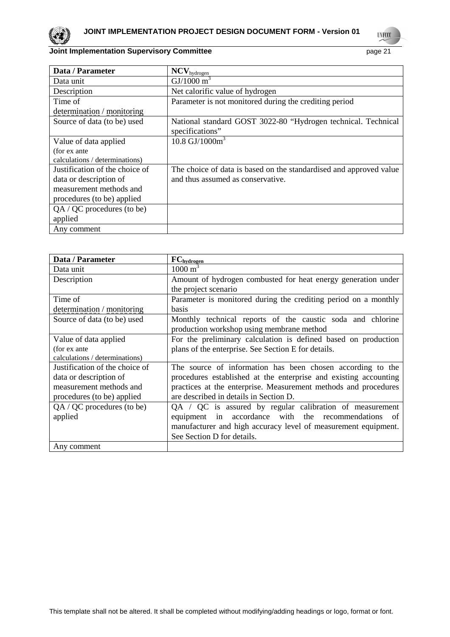

**UNFCCC** 

# **Joint Implementation Supervisory Committee** <br>
page 21

| Data / Parameter               | $NCV_{hydrogen}$                                                   |
|--------------------------------|--------------------------------------------------------------------|
| Data unit                      | $GI/1000 m^3$                                                      |
| Description                    | Net calorific value of hydrogen                                    |
| Time of                        | Parameter is not monitored during the crediting period             |
| determination / monitoring     |                                                                    |
| Source of data (to be) used    | National standard GOST 3022-80 "Hydrogen technical. Technical      |
|                                | specifications"                                                    |
| Value of data applied          | 10.8 $GI/1000m^3$                                                  |
| (for ex ante                   |                                                                    |
| calculations / determinations) |                                                                    |
| Justification of the choice of | The choice of data is based on the standardised and approved value |
| data or description of         | and thus assumed as conservative.                                  |
| measurement methods and        |                                                                    |
| procedures (to be) applied     |                                                                    |
| QA / QC procedures (to be)     |                                                                    |
| applied                        |                                                                    |
| Any comment                    |                                                                    |

| Data / Parameter               | FC <sub>hydrogen</sub>                                           |  |  |
|--------------------------------|------------------------------------------------------------------|--|--|
| Data unit                      | $1000 \text{ m}^3$                                               |  |  |
| Description                    | Amount of hydrogen combusted for heat energy generation under    |  |  |
|                                | the project scenario                                             |  |  |
| Time of                        | Parameter is monitored during the crediting period on a monthly  |  |  |
| determination / monitoring     | <b>basis</b>                                                     |  |  |
| Source of data (to be) used    | Monthly technical reports of the caustic soda and chlorine       |  |  |
|                                | production workshop using membrane method                        |  |  |
| Value of data applied          | For the preliminary calculation is defined based on production   |  |  |
| (for ex ante                   | plans of the enterprise. See Section E for details.              |  |  |
| calculations / determinations) |                                                                  |  |  |
| Justification of the choice of | The source of information has been chosen according to the       |  |  |
| data or description of         | procedures established at the enterprise and existing accounting |  |  |
| measurement methods and        | practices at the enterprise. Measurement methods and procedures  |  |  |
| procedures (to be) applied     | are described in details in Section D.                           |  |  |
| $QA / QC$ procedures (to be)   | $QA / QC$ is assured by regular calibration of measurement       |  |  |
| applied                        | accordance with the recommendations<br>equipment in<br>of        |  |  |
|                                | manufacturer and high accuracy level of measurement equipment.   |  |  |
|                                | See Section D for details.                                       |  |  |
| Any comment                    |                                                                  |  |  |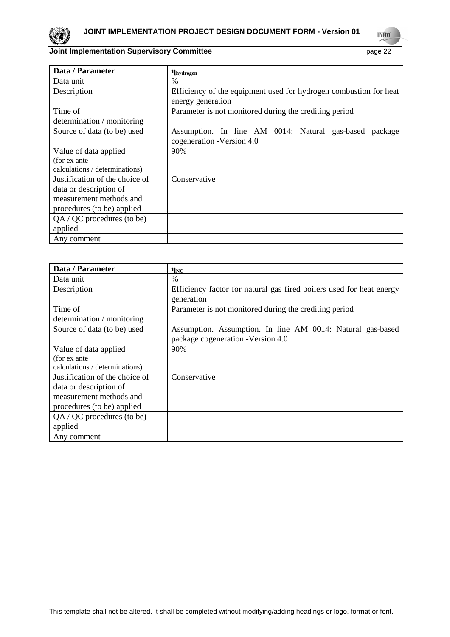

 $\overline{1}$ 

**UNFCCC** 

# **Joint Implementation Supervisory Committee** <br>
page 22

| Data / Parameter               | <b>η</b> hydrogen                                                 |  |  |  |  |  |  |
|--------------------------------|-------------------------------------------------------------------|--|--|--|--|--|--|
| Data unit                      | %                                                                 |  |  |  |  |  |  |
| Description                    | Efficiency of the equipment used for hydrogen combustion for heat |  |  |  |  |  |  |
|                                | energy generation                                                 |  |  |  |  |  |  |
| Time of                        | Parameter is not monitored during the crediting period            |  |  |  |  |  |  |
| determination / monitoring     |                                                                   |  |  |  |  |  |  |
| Source of data (to be) used    | Assumption. In line AM 0014: Natural gas-based<br>package         |  |  |  |  |  |  |
|                                | cogeneration - Version 4.0                                        |  |  |  |  |  |  |
| Value of data applied          | 90%                                                               |  |  |  |  |  |  |
| (for ex ante                   |                                                                   |  |  |  |  |  |  |
| calculations / determinations) |                                                                   |  |  |  |  |  |  |
| Justification of the choice of | Conservative                                                      |  |  |  |  |  |  |
| data or description of         |                                                                   |  |  |  |  |  |  |
| measurement methods and        |                                                                   |  |  |  |  |  |  |
| procedures (to be) applied     |                                                                   |  |  |  |  |  |  |
| QA / QC procedures (to be)     |                                                                   |  |  |  |  |  |  |
| applied                        |                                                                   |  |  |  |  |  |  |
| Any comment                    |                                                                   |  |  |  |  |  |  |

| Data / Parameter               | $\eta_{\rm NG}$                                                      |
|--------------------------------|----------------------------------------------------------------------|
| Data unit                      | $\frac{0}{0}$                                                        |
| Description                    | Efficiency factor for natural gas fired boilers used for heat energy |
|                                | generation                                                           |
| Time of                        | Parameter is not monitored during the crediting period               |
| determination / monitoring     |                                                                      |
| Source of data (to be) used    | Assumption. Assumption. In line AM 0014: Natural gas-based           |
|                                | package cogeneration -Version 4.0                                    |
| Value of data applied          | 90%                                                                  |
| (for ex ante                   |                                                                      |
| calculations / determinations) |                                                                      |
| Justification of the choice of | Conservative                                                         |
| data or description of         |                                                                      |
| measurement methods and        |                                                                      |
| procedures (to be) applied     |                                                                      |
| QA / QC procedures (to be)     |                                                                      |
| applied                        |                                                                      |
| Any comment                    |                                                                      |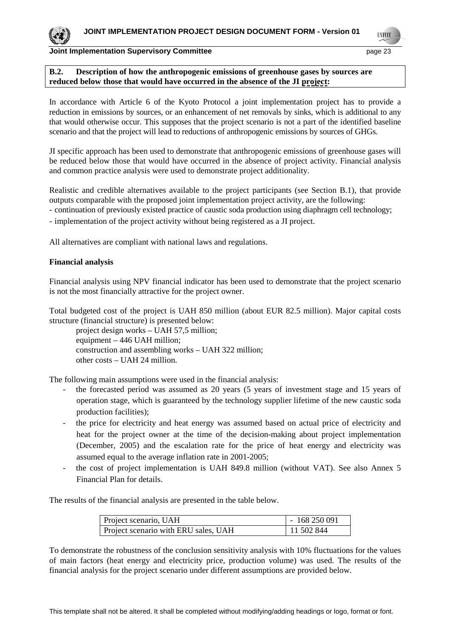**TIVECO** 

#### **Joint Implementation Supervisory Committee page 23** page 23

## **B.2. Description of how the anthropogenic emissions of greenhouse gases by sources are reduced below those that would have occurred in the absence of the JI project:**

In accordance with Article 6 of the Kyoto Protocol a joint implementation project has to provide a reduction in emissions by sources, or an enhancement of net removals by sinks, which is additional to any that would otherwise occur. This supposes that the project scenario is not a part of the identified baseline scenario and that the project will lead to reductions of anthropogenic emissions by sources of GHGs.

JI specific approach has been used to demonstrate that anthropogenic emissions of greenhouse gases will be reduced below those that would have occurred in the absence of project activity. Financial analysis and common practice analysis were used to demonstrate project additionality.

Realistic and credible alternatives available to the project participants (see Section B.1), that provide outputs comparable with the proposed joint implementation project activity, are the following:

- continuation of previously existed practice of caustic soda production using diaphragm cell technology;
- implementation of the project activity without being registered as a JI project.

All alternatives are compliant with national laws and regulations.

## **Financial analysis**

Financial analysis using NPV financial indicator has been used to demonstrate that the project scenario is not the most financially attractive for the project owner.

Total budgeted cost of the project is UAH 850 million (about EUR 82.5 million). Major capital costs structure (financial structure) is presented below:

project design works – UAH 57,5 million; equipment – 446 UAH million; construction and assembling works – UAH 322 million; other costs – UAH 24 million.

The following main assumptions were used in the financial analysis:

- the forecasted period was assumed as 20 years (5 years of investment stage and 15 years of operation stage, which is guaranteed by the technology supplier lifetime of the new caustic soda production facilities);
- the price for electricity and heat energy was assumed based on actual price of electricity and heat for the project owner at the time of the decision-making about project implementation (December, 2005) and the escalation rate for the price of heat energy and electricity was assumed equal to the average inflation rate in 2001-2005;
- the cost of project implementation is UAH 849.8 million (without VAT). See also Annex 5 Financial Plan for details.

The results of the financial analysis are presented in the table below.

| Project scenario, UAH                | $-168250091$ |
|--------------------------------------|--------------|
| Project scenario with ERU sales, UAH | 11 502 844   |

To demonstrate the robustness of the conclusion sensitivity analysis with 10% fluctuations for the values of main factors (heat energy and electricity price, production volume) was used. The results of the financial analysis for the project scenario under different assumptions are provided below.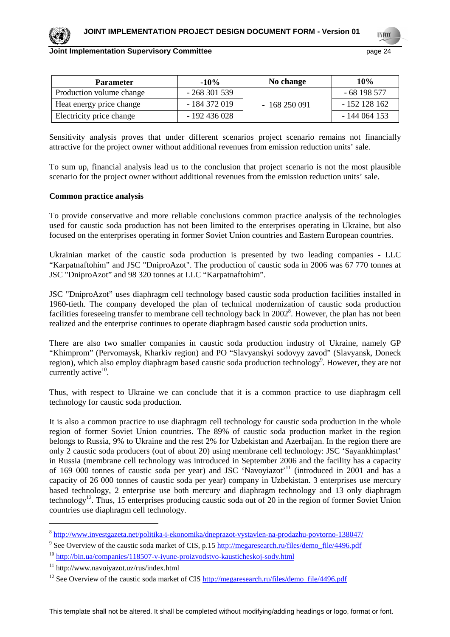**TNECO** 

# **Joint Implementation Supervisory Committee**  page 24

| <b>Parameter</b>         | $-10\%$       | No change    | 10%            |
|--------------------------|---------------|--------------|----------------|
| Production volume change | $-268301539$  |              | - 68 198 577   |
| Heat energy price change | - 184 372 019 | $-168250091$ | $-152$ 128 162 |
| Electricity price change | - 192 436 028 |              | - 144 064 153  |

Sensitivity analysis proves that under different scenarios project scenario remains not financially attractive for the project owner without additional revenues from emission reduction units' sale.

To sum up, financial analysis lead us to the conclusion that project scenario is not the most plausible scenario for the project owner without additional revenues from the emission reduction units' sale.

#### **Common practice analysis**

To provide conservative and more reliable conclusions common practice analysis of the technologies used for caustic soda production has not been limited to the enterprises operating in Ukraine, but also focused on the enterprises operating in former Soviet Union countries and Eastern European countries.

Ukrainian market of the caustic soda production is presented by two leading companies - LLC "Karpatnaftohim" and JSC "DniproAzot". The production of caustic soda in 2006 was 67 770 tonnes at JSC "DniproAzot" and 98 320 tonnes at LLC "Karpatnaftohim".

JSC "DniproAzot" uses diaphragm cell technology based caustic soda production facilities installed in 1960-tieth. The company developed the plan of technical modernization of caustic soda production facilities foreseeing transfer to membrane cell technology back in 2002<sup>8</sup>. However, the plan has not been realized and the enterprise continues to operate diaphragm based caustic soda production units.

There are also two smaller companies in caustic soda production industry of Ukraine, namely GP "Khimprom" (Pervomaysk, Kharkiv region) and PO "Slavyanskyi sodovyy zavod" (Slavyansk, Doneck region), which also employ diaphragm based caustic soda production technology<sup>9</sup>. However, they are not currently active $10$ .

Thus, with respect to Ukraine we can conclude that it is a common practice to use diaphragm cell technology for caustic soda production.

It is also a common practice to use diaphragm cell technology for caustic soda production in the whole region of former Soviet Union countries. The 89% of caustic soda production market in the region belongs to Russia, 9% to Ukraine and the rest 2% for Uzbekistan and Azerbaijan. In the region there are only 2 caustic soda producers (out of about 20) using membrane cell technology: JSC 'Sayankhimplast' in Russia (membrane cell technology was introduced in September 2006 and the facility has a capacity of 169 000 tonnes of caustic soda per year) and JSC 'Navoyiazot'<sup>11</sup> (introduced in 2001 and has a capacity of 26 000 tonnes of caustic soda per year) company in Uzbekistan. 3 enterprises use mercury based technology, 2 enterprise use both mercury and diaphragm technology and 13 only diaphragm technology<sup>12</sup>. Thus, 15 enterprises producing caustic soda out of 20 in the region of former Soviet Union countries use diaphragm cell technology.

 $\overline{a}$ 

<sup>&</sup>lt;sup>8</sup> http://www.investgazeta.net/politika-i-ekonomika/dneprazot-vystavlen-na-prodazhu-povtorno-138047/

<sup>&</sup>lt;sup>9</sup> See Overview of the caustic soda market of CIS, p.15 http://megaresearch.ru/files/demo\_file/4496.pdf

<sup>10</sup> http://bin.ua/companies/118507-v-iyune-proizvodstvo-kausticheskoj-sody.html

<sup>11</sup> http://www.navoiyazot.uz/rus/index.html

<sup>&</sup>lt;sup>12</sup> See Overview of the caustic soda market of CIS  $\frac{http://megaresearch.ru/files/demo-file/4496.pdf}{http://megaresearch.ru/files/demo-file/4496.pdf}$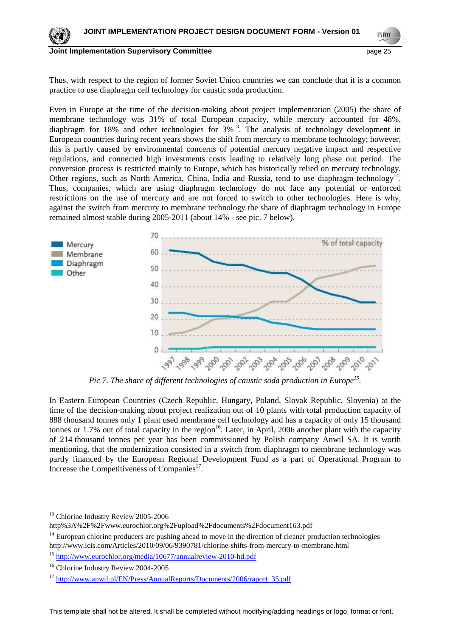

```
TNECO
```
Thus, with respect to the region of former Soviet Union countries we can conclude that it is a common practice to use diaphragm cell technology for caustic soda production.

Even in Europe at the time of the decision-making about project implementation (2005) the share of membrane technology was 31% of total European capacity, while mercury accounted for 48%, diaphragm for 18% and other technologies for  $3\frac{13}{10}$ . The analysis of technology development in European countries during recent years shows the shift from mercury to membrane technology; however, this is partly caused by environmental concerns of potential mercury negative impact and respective regulations, and connected high investments costs leading to relatively long phase out period. The conversion process is restricted mainly to Europe, which has historically relied on mercury technology. Other regions, such as North America, China, India and Russia, tend to use diaphragm technology<sup>14</sup>. Thus, companies, which are using diaphragm technology do not face any potential or enforced restrictions on the use of mercury and are not forced to switch to other technologies. Here is why, against the switch from mercury to membrane technology the share of diaphragm technology in Europe remained almost stable during 2005-2011 (about 14% - see pic. 7 below).



*Pic 7. The share of different technologies of caustic soda production in Europe<sup>15</sup> .* 

In Eastern European Countries (Czech Republic, Hungary, Poland, Slovak Republic, Slovenia) at the time of the decision-making about project realization out of 10 plants with total production capacity of 888 thousand tonnes only 1 plant used membrane cell technology and has a capacity of only 15 thousand tonnes or 1.7% out of total capacity in the region<sup>16</sup>. Later, in April, 2006 another plant with the capacity of 214 thousand tonnes per year has been commissioned by Polish company Anwil SA. It is worth mentioning, that the modernization consisted in a switch from diaphragm to membrane technology was partly financed by the European Regional Development Fund as a part of Operational Program to Increase the Competitiveness of Companies<sup>17</sup>.

 $\overline{a}$ 

<sup>&</sup>lt;sup>13</sup> Chlorine Industry Review 2005-2006

http%3A%2F%2Fwww.eurochlor.org%2Fupload%2Fdocuments%2Fdocument163.pdf

<sup>&</sup>lt;sup>14</sup> European chlorine producers are pushing ahead to move in the direction of cleaner production technologies http://www.icis.com/Articles/2010/09/06/9390781/chlorine-shifts-from-mercury-to-membrane.html

<sup>15</sup> http://www.eurochlor.org/media/10677/annualreview-2010-hd.pdf

<sup>&</sup>lt;sup>16</sup> Chlorine Industry Review 2004-2005

<sup>&</sup>lt;sup>17</sup> http://www.anwil.pl/EN/Press/AnnualReports/Documents/2006/raport\_35.pdf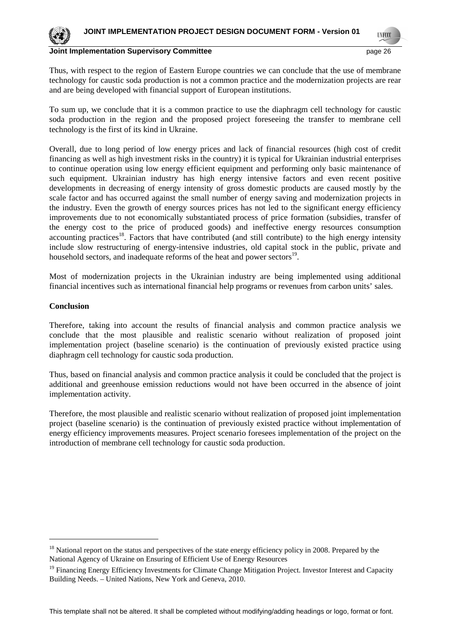

Thus, with respect to the region of Eastern Europe countries we can conclude that the use of membrane technology for caustic soda production is not a common practice and the modernization projects are rear and are being developed with financial support of European institutions.

To sum up, we conclude that it is a common practice to use the diaphragm cell technology for caustic soda production in the region and the proposed project foreseeing the transfer to membrane cell technology is the first of its kind in Ukraine.

Overall, due to long period of low energy prices and lack of financial resources (high cost of credit financing as well as high investment risks in the country) it is typical for Ukrainian industrial enterprises to continue operation using low energy efficient equipment and performing only basic maintenance of such equipment. Ukrainian industry has high energy intensive factors and even recent positive developments in decreasing of energy intensity of gross domestic products are caused mostly by the scale factor and has occurred against the small number of energy saving and modernization projects in the industry. Even the growth of energy sources prices has not led to the significant energy efficiency improvements due to not economically substantiated process of price formation (subsidies, transfer of the energy cost to the price of produced goods) and ineffective energy resources consumption accounting practices<sup>18</sup>. Factors that have contributed (and still contribute) to the high energy intensity include slow restructuring of energy-intensive industries, old capital stock in the public, private and household sectors, and inadequate reforms of the heat and power sectors<sup>19</sup>.

Most of modernization projects in the Ukrainian industry are being implemented using additional financial incentives such as international financial help programs or revenues from carbon units' sales.

## **Conclusion**

Therefore, taking into account the results of financial analysis and common practice analysis we conclude that the most plausible and realistic scenario without realization of proposed joint implementation project (baseline scenario) is the continuation of previously existed practice using diaphragm cell technology for caustic soda production.

Thus, based on financial analysis and common practice analysis it could be concluded that the project is additional and greenhouse emission reductions would not have been occurred in the absence of joint implementation activity.

Therefore, the most plausible and realistic scenario without realization of proposed joint implementation project (baseline scenario) is the continuation of previously existed practice without implementation of energy efficiency improvements measures. Project scenario foresees implementation of the project on the introduction of membrane cell technology for caustic soda production.

<sup>&</sup>lt;sup>18</sup> National report on the status and perspectives of the state energy efficiency policy in 2008. Prepared by the National Agency of Ukraine on Ensuring of Efficient Use of Energy Resources

<sup>&</sup>lt;sup>19</sup> Financing Energy Efficiency Investments for Climate Change Mitigation Project. Investor Interest and Capacity Building Needs. – United Nations, New York and Geneva, 2010.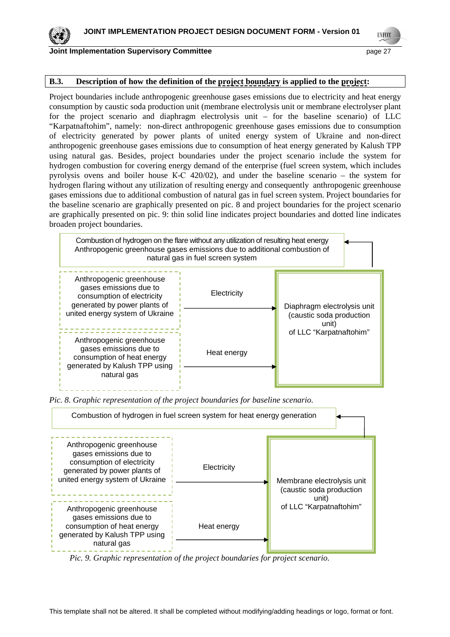

**TNECO** 

## **Joint Implementation Supervisory Committee** <br>
page 27

## **B.3. Description of how the definition of the project boundary is applied to the project:**

Project boundaries include anthropogenic greenhouse gases emissions due to electricity and heat energy consumption by caustic soda production unit (membrane electrolysis unit or membrane electrolyser plant for the project scenario and diaphragm electrolysis unit – for the baseline scenario) of LLC "Karpatnaftohim", namely: non-direct anthropogenic greenhouse gases emissions due to consumption of electricity generated by power plants of united energy system of Ukraine and non-direct anthropogenic greenhouse gases emissions due to consumption of heat energy generated by Kalush TPP using natural gas. Besides, project boundaries under the project scenario include the system for hydrogen combustion for covering energy demand of the enterprise (fuel screen system, which includes pyrolysis ovens and boiler house К-С 420/02), and under the baseline scenario – the system for hydrogen flaring without any utilization of resulting energy and consequently anthropogenic greenhouse gases emissions due to additional combustion of natural gas in fuel screen system. Project boundaries for the baseline scenario are graphically presented on pic. 8 and project boundaries for the project scenario are graphically presented on pic. 9: thin solid line indicates project boundaries and dotted line indicates broaden project boundaries.



*Pic. 8. Graphic representation of the project boundaries for baseline scenario.* 



*Pic. 9. Graphic representation of the project boundaries for project scenario.*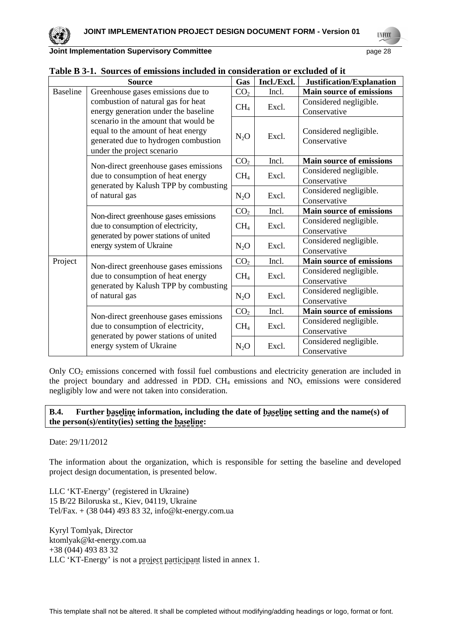**UNFCCC** 

| Joint Implementation Supervisory Committee | page 28 |
|--------------------------------------------|---------|
|--------------------------------------------|---------|

|                 | <b>Source</b>                                                                                                      | Gas             | Incl./Excl. | Justification/Explanation              |
|-----------------|--------------------------------------------------------------------------------------------------------------------|-----------------|-------------|----------------------------------------|
| <b>Baseline</b> | Greenhouse gases emissions due to                                                                                  | CO <sub>2</sub> | Incl.       | <b>Main source of emissions</b>        |
|                 | combustion of natural gas for heat                                                                                 | CH <sub>4</sub> | Excl.       | Considered negligible.                 |
|                 | energy generation under the baseline                                                                               |                 |             | Conservative                           |
|                 | scenario in the amount that would be<br>equal to the amount of heat energy<br>generated due to hydrogen combustion | $N_2O$          | Excl.       | Considered negligible.<br>Conservative |
|                 | under the project scenario                                                                                         | CO <sub>2</sub> | Incl.       | <b>Main source of emissions</b>        |
|                 | Non-direct greenhouse gases emissions                                                                              |                 |             |                                        |
|                 | due to consumption of heat energy                                                                                  | CH <sub>4</sub> | Excl.       | Considered negligible.<br>Conservative |
|                 | generated by Kalush TPP by combusting                                                                              |                 |             | Considered negligible.                 |
|                 | of natural gas                                                                                                     | $N_2O$          | Excl.       | Conservative                           |
|                 |                                                                                                                    | CO <sub>2</sub> | Incl.       | Main source of emissions               |
|                 | Non-direct greenhouse gases emissions                                                                              | CH <sub>4</sub> | Excl.       | Considered negligible.                 |
|                 | due to consumption of electricity,<br>generated by power stations of united                                        |                 |             | Conservative                           |
|                 |                                                                                                                    |                 |             | Considered negligible.                 |
|                 | energy system of Ukraine                                                                                           | $N_2O$          | Excl.       | Conservative                           |
| Project         |                                                                                                                    | CO <sub>2</sub> | Incl.       | Main source of emissions               |
|                 | Non-direct greenhouse gases emissions                                                                              |                 |             | Considered negligible.                 |
|                 | due to consumption of heat energy                                                                                  | CH <sub>4</sub> | Excl.       | Conservative                           |
|                 | generated by Kalush TPP by combusting<br>of natural gas                                                            |                 | Excl.       | Considered negligible.                 |
|                 |                                                                                                                    | $N_2O$          |             | Conservative                           |
|                 | Non-direct greenhouse gases emissions                                                                              | CO <sub>2</sub> | Incl.       | <b>Main source of emissions</b>        |
|                 | due to consumption of electricity,                                                                                 | CH <sub>4</sub> | Excl.       | Considered negligible.                 |
|                 |                                                                                                                    |                 |             | Conservative                           |
|                 | generated by power stations of united<br>energy system of Ukraine                                                  | $N_2O$          | Excl.       | Considered negligible.                 |
|                 |                                                                                                                    |                 |             | Conservative                           |

| Table B 3-1. Sources of emissions included in consideration or excluded of it |  |
|-------------------------------------------------------------------------------|--|
|-------------------------------------------------------------------------------|--|

Only  $CO<sub>2</sub>$  emissions concerned with fossil fuel combustions and electricity generation are included in the project boundary and addressed in PDD.  $CH_4$  emissions and  $NO_x$  emissions were considered negligibly low and were not taken into consideration.

## **B.4. Further baseline information, including the date of baseline setting and the name(s) of the person(s)/entity(ies) setting the baseline:**

## Date: 29/11/2012

The information about the organization, which is responsible for setting the baseline and developed project design documentation, is presented below.

LLC 'KT-Energy' (registered in Ukraine) 15 B/22 Biloruska st., Kiev, 04119, Ukraine Tel/Fax. + (38 044) 493 83 32, info@kt-energy.com.ua

Kyryl Tomlyak, Director ktomlyak@kt-energy.com.ua +38 (044) 493 83 32 LLC 'KT-Energy' is not a project participant listed in annex 1.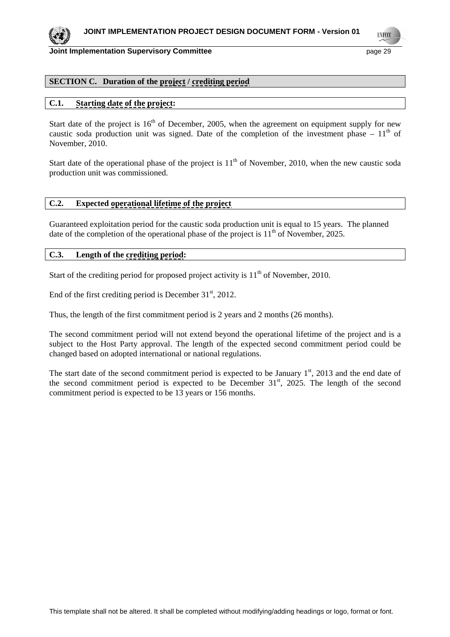

**TNECO** 

#### **Joint Implementation Supervisory Committee** <br>
page 29

## **SECTION C. Duration of the project / crediting period**

# **C.1. Starting date of the project:**

Start date of the project is  $16<sup>th</sup>$  of December, 2005, when the agreement on equipment supply for new caustic soda production unit was signed. Date of the completion of the investment phase –  $11<sup>th</sup>$  of November, 2010.

Start date of the operational phase of the project is  $11<sup>th</sup>$  of November, 2010, when the new caustic soda production unit was commissioned.

## **C.2. Expected operational lifetime of the project**

Guaranteed exploitation period for the caustic soda production unit is equal to 15 years. The planned date of the completion of the operational phase of the project is  $11<sup>th</sup>$  of November, 2025.

## **C.3. Length of the crediting period:**

Start of the crediting period for proposed project activity is  $11<sup>th</sup>$  of November, 2010.

End of the first crediting period is December  $31<sup>st</sup>$ , 2012.

Thus, the length of the first commitment period is 2 years and 2 months (26 months).

The second commitment period will not extend beyond the operational lifetime of the project and is a subject to the Host Party approval. The length of the expected second commitment period could be changed based on adopted international or national regulations.

The start date of the second commitment period is expected to be January  $1<sup>st</sup>$ , 2013 and the end date of the second commitment period is expected to be December  $31<sup>st</sup>$ , 2025. The length of the second commitment period is expected to be 13 years or 156 months.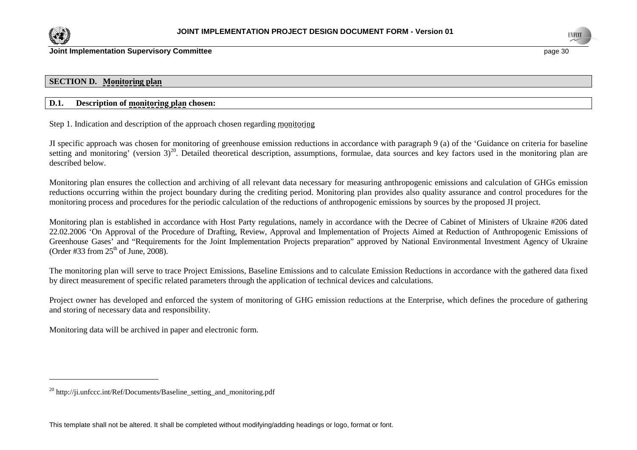



## **SECTION D. Monitoring plan**

## **D.1. Description of monitoring plan chosen:**

Step 1. Indication and description of the approach chosen regarding monitoring

JI specific approach was chosen for monitoring of greenhouse emission reductions in accordance with paragraph 9 (a) of the 'Guidance on criteria for baseline setting and monitoring' (version  $3)^{20}$ . Detailed theoretical description, assumptions, formulae, data sources and key factors used in the monitoring plan are described below.

Monitoring plan ensures the collection and archiving of all relevant data necessary for measuring anthropogenic emissions and calculation of GHGs emission reductions occurring within the project boundary during the crediting period. Monitoring plan provides also quality assurance and control procedures for the monitoring process and procedures for the periodic calculation of the reductions of anthropogenic emissions by sources by the proposed JI project.

Monitoring plan is established in accordance with Host Party regulations, namely in accordance with the Decree of Cabinet of Ministers of Ukraine #206 dated 22.02.2006 'On Approval of the Procedure of Drafting, Review, Approval and Implementation of Projects Aimed at Reduction of Anthropogenic Emissions of Greenhouse Gases' and "Requirements for the Joint Implementation Projects preparation" approved by National Environmental Investment Agency of Ukraine (Order #33 from  $25<sup>th</sup>$  of June, 2008).

The monitoring plan will serve to trace Project Emissions, Baseline Emissions and to calculate Emission Reductions in accordance with the gathered data fixed by direct measurement of specific related parameters through the application of technical devices and calculations.

Project owner has developed and enforced the system of monitoring of GHG emission reductions at the Enterprise, which defines the procedure of gathering and storing of necessary data and responsibility.

Monitoring data will be archived in paper and electronic form.

<sup>20</sup> http://ji.unfccc.int/Ref/Documents/Baseline\_setting\_and\_monitoring.pdf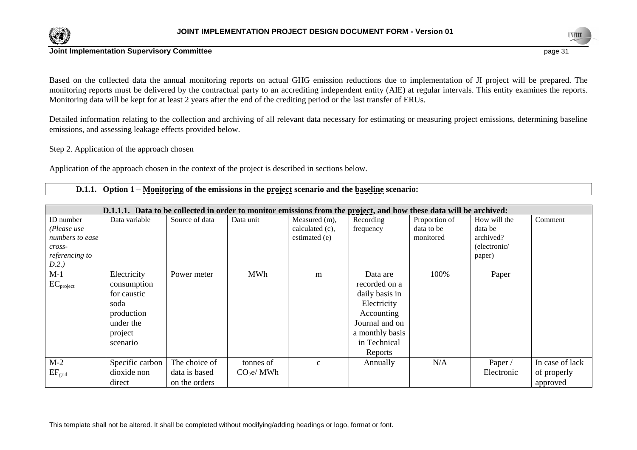

Based on the collected data the annual monitoring reports on actual GHG emission reductions due to implementation of JI project will be prepared. The monitoring reports must be delivered by the contractual party to an accrediting independent entity (AIE) at regular intervals. This entity examines the reports. Monitoring data will be kept for at least 2 years after the end of the crediting period or the last transfer of ERUs.

Detailed information relating to the collection and archiving of all relevant data necessary for estimating or measuring project emissions, determining baseline emissions, and assessing leakage effects provided below.

Step 2. Application of the approach chosen

Application of the approach chosen in the context of the project is described in sections below.

 **D.1.1. Option 1 – Monitoring of the emissions in the project scenario and the baseline scenario:** 

|                 | D.1.1.1. Data to be collected in order to monitor emissions from the project, and how these data will be archived: |                |                       |                 |                 |               |              |                 |
|-----------------|--------------------------------------------------------------------------------------------------------------------|----------------|-----------------------|-----------------|-----------------|---------------|--------------|-----------------|
| ID number       | Data variable                                                                                                      | Source of data | Data unit             | Measured (m),   | Recording       | Proportion of | How will the | Comment         |
| (Please use     |                                                                                                                    |                |                       | calculated (c), | frequency       | data to be    | data be      |                 |
| numbers to ease |                                                                                                                    |                |                       | estimated (e)   |                 | monitored     | archived?    |                 |
| cross-          |                                                                                                                    |                |                       |                 |                 |               | (electronic/ |                 |
| referencing to  |                                                                                                                    |                |                       |                 |                 |               | paper)       |                 |
| D.2.)           |                                                                                                                    |                |                       |                 |                 |               |              |                 |
| $M-1$           | Electricity                                                                                                        | Power meter    | <b>MWh</b>            | m               | Data are        | 100%          | Paper        |                 |
| $EC_{project}$  | consumption                                                                                                        |                |                       |                 | recorded on a   |               |              |                 |
|                 | for caustic                                                                                                        |                |                       |                 | daily basis in  |               |              |                 |
|                 | soda                                                                                                               |                |                       |                 | Electricity     |               |              |                 |
|                 | production                                                                                                         |                |                       |                 | Accounting      |               |              |                 |
|                 | under the                                                                                                          |                |                       |                 | Journal and on  |               |              |                 |
|                 | project                                                                                                            |                |                       |                 | a monthly basis |               |              |                 |
|                 | scenario                                                                                                           |                |                       |                 | in Technical    |               |              |                 |
|                 |                                                                                                                    |                |                       |                 | Reports         |               |              |                 |
| $M-2$           | Specific carbon                                                                                                    | The choice of  | tonnes of             | $\mathbf{c}$    | Annually        | N/A           | Paper /      | In case of lack |
| $EF_{grid}$     | dioxide non                                                                                                        | data is based  | CO <sub>2</sub> e/MWh |                 |                 |               | Electronic   | of properly     |
|                 | direct                                                                                                             | on the orders  |                       |                 |                 |               |              | approved        |

This template shall not be altered. It shall be completed without modifying/adding headings or logo, format or font.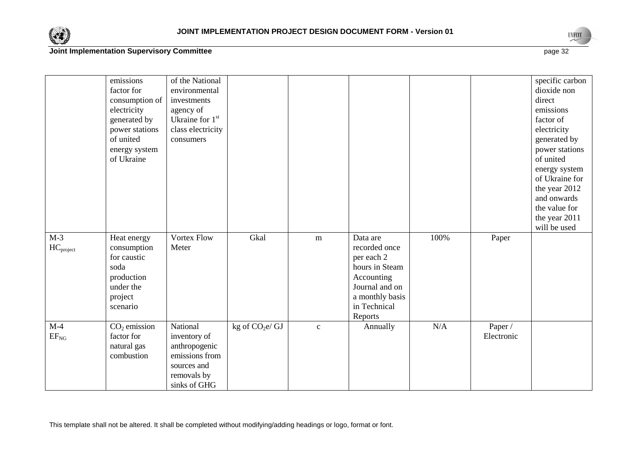



emissions factor for consumption of electricity generated by power stations of united energy system of Ukraineof the National environmental investments agency of Ukraine for  $1<sup>st</sup>$ class electricity consumersspecific carbon dioxide non direct emissions factor of electricity generated by power stations of united energy system of Ukraine for the year 2012 and onwards the value for the year 2011 will be used  $M-3$ HC<sub>project</sub> Heat energy consumption for caustic soda production under the project scenarioVortex Flow Meter Gkal m Data are recorded once per each 2 hours in Steam Accounting Journal and on a monthly basis in Technical ReportsJ c Annually 100% PaperM-4  $EF_{NG}$  $CO<sub>2</sub>$  emission factor for natural gas combustionNational inventory of anthropogenic emissions from sources and removals by sinks of GHG kg of  $CO<sub>2</sub>e/GJ$  N/A Paper / Electronic

This template shall not be altered. It shall be completed without modifying/adding headings or logo, format or font.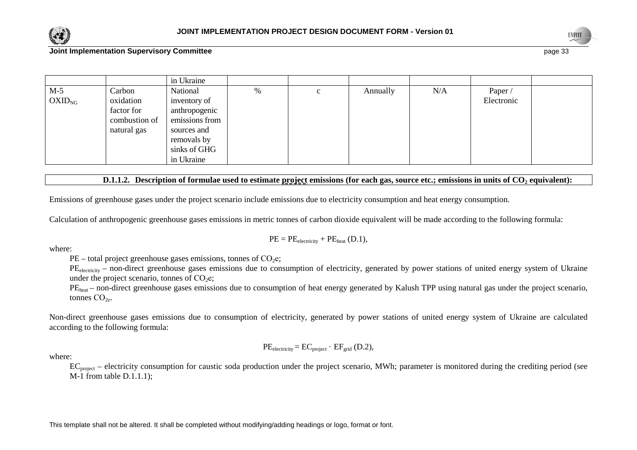



|             |               | in Ukraine     |   |   |          |     |            |  |
|-------------|---------------|----------------|---|---|----------|-----|------------|--|
| $M-5$       | Carbon        | National       | % | c | Annually | N/A | Paper /    |  |
| $OXID_{NG}$ | oxidation     | inventory of   |   |   |          |     | Electronic |  |
|             | factor for    | anthropogenic  |   |   |          |     |            |  |
|             | combustion of | emissions from |   |   |          |     |            |  |
|             | natural gas   | sources and    |   |   |          |     |            |  |
|             |               | removals by    |   |   |          |     |            |  |
|             |               | sinks of GHG   |   |   |          |     |            |  |
|             |               | in Ukraine     |   |   |          |     |            |  |

## **D.1.1.2.** Description of formulae used to estimate project emissions (for each gas, source etc.; emissions in units of CO<sub>2</sub> equivalent):

Emissions of greenhouse gases under the project scenario include emissions due to electricity consumption and heat energy consumption.

Calculation of anthropogenic greenhouse gases emissions in metric tonnes of carbon dioxide equivalent will be made according to the following formula:

$$
PE = PE_{electricity} + PE_{heat} (D.1),
$$

where:

 $PE$  – total project greenhouse gases emissions, tonnes of  $CO<sub>2</sub>e$ ;

PE<sub>electricity</sub> – non-direct greenhouse gases emissions due to consumption of electricity, generated by power stations of united energy system of Ukraine under the project scenario, tonnes of  $CO<sub>2</sub>e$ ;

PE<sub>heat</sub> – non-direct greenhouse gases emissions due to consumption of heat energy generated by Kalush TPP using natural gas under the project scenario, tonnes  $CO<sub>2</sub>$ .

Non-direct greenhouse gases emissions due to consumption of electricity, generated by power stations of united energy system of Ukraine are calculated according to the following formula:

$$
PE_{electricity} = EC_{project} \cdot EF_{grid} (D.2),
$$

where:

EC<sub>project</sub> – electricity consumption for caustic soda production under the project scenario, MWh; parameter is monitored during the crediting period (see M-1 from table D.1.1.1);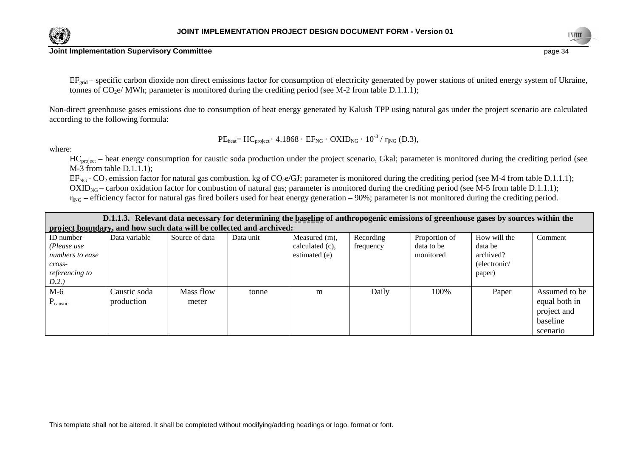

 $EF_{grid}$  – specific carbon dioxide non direct emissions factor for consumption of electricity generated by power stations of united energy system of Ukraine, tonnes of  $CO<sub>2</sub>e/MWh$ ; parameter is monitored during the crediting period (see M-2 from table D.1.1.1);

Non-direct greenhouse gases emissions due to consumption of heat energy generated by Kalush TPP using natural gas under the project scenario are calculated according to the following formula:

where:

 $PE<sub>heat</sub> = HC<sub>project</sub> · 4.1868 · EF<sub>NG</sub> · OXID<sub>NG</sub> · 10<sup>-3</sup> /  $\eta_{NG}$  (D.3),$ 

HC<sub>project</sub> – heat energy consumption for caustic soda production under the project scenario, Gkal; parameter is monitored during the crediting period (see M-3 from table D.1.1.1);

 $EF_{NG}$  -  $CO_2$  emission factor for natural gas combustion, kg of  $CO_2$ e/GJ; parameter is monitored during the crediting period (see M-4 from table D.1.1.1);

 $OXID<sub>NG</sub>$  – carbon oxidation factor for combustion of natural gas; parameter is monitored during the crediting period (see M-5 from table D.1.1.1);

 $η<sub>NG</sub> – efficiency factor for natural gas fired boilers used for heat energy generation – 90%; parameter is not monitored during the credibility period.$ 

| D.1.1.3. Relevant data necessary for determining the baseline of anthropogenic emissions of greenhouse gases by sources within the |                                                                     |                    |           |                                                      |                        |                                          |                                                                |                                                                       |  |
|------------------------------------------------------------------------------------------------------------------------------------|---------------------------------------------------------------------|--------------------|-----------|------------------------------------------------------|------------------------|------------------------------------------|----------------------------------------------------------------|-----------------------------------------------------------------------|--|
|                                                                                                                                    | project boundary, and how such data will be collected and archived: |                    |           |                                                      |                        |                                          |                                                                |                                                                       |  |
| <b>ID</b> number<br>(Please use<br>numbers to ease<br>$cross-$<br>referencing to<br>D.2.                                           | Data variable                                                       | Source of data     | Data unit | Measured (m),<br>calculated $(c)$ ,<br>estimated (e) | Recording<br>frequency | Proportion of<br>data to be<br>monitored | How will the<br>data be<br>archived?<br>(electronic/<br>paper) | Comment                                                               |  |
| $M-6$<br>$P_{\text{caustic}}$                                                                                                      | Caustic soda<br>production                                          | Mass flow<br>meter | tonne     | m                                                    | Daily                  | 100\%                                    | Paper                                                          | Assumed to be<br>equal both in<br>project and<br>baseline<br>scenario |  |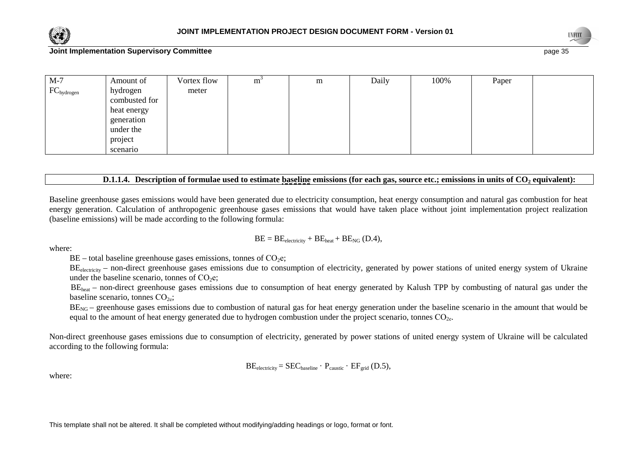



| $M-7$           | Amount of                                                     | Vortex flow | m | m | Daily | 100% | Paper |  |
|-----------------|---------------------------------------------------------------|-------------|---|---|-------|------|-------|--|
| $FC_{hydrogen}$ | hydrogen<br>combusted for                                     | meter       |   |   |       |      |       |  |
|                 | heat energy<br>generation<br>under the<br>project<br>scenario |             |   |   |       |      |       |  |

## **D.1.1.4.** Description of formulae used to estimate baseline emissions (for each gas, source etc.; emissions in units of CO<sub>2</sub> equivalent):

Baseline greenhouse gases emissions would have been generated due to electricity consumption, heat energy consumption and natural gas combustion for heat energy generation. Calculation of anthropogenic greenhouse gases emissions that would have taken place without joint implementation project realization (baseline emissions) will be made according to the following formula:

$$
BE = BE_{electricity} + BE_{heat} + BE_{NG} (D.4),
$$

where:

 $BE$  – total baseline greenhouse gases emissions, tonnes of  $CO<sub>2</sub>e$ ;

BE<sub>electricity</sub> – non-direct greenhouse gases emissions due to consumption of electricity, generated by power stations of united energy system of Ukraine under the baseline scenario, tonnes of  $CO<sub>2</sub>e$ ;

BE<sub>heat</sub> – non-direct greenhouse gases emissions due to consumption of heat energy generated by Kalush TPP by combusting of natural gas under the baseline scenario, tonnes  $CO<sub>2e</sub>$ ;

 $BE<sub>NG</sub>$  – greenhouse gases emissions due to combustion of natural gas for heat energy generation under the baseline scenario in the amount that would be equal to the amount of heat energy generated due to hydrogen combustion under the project scenario, tonnes  $CO<sub>2</sub>$ .

Non-direct greenhouse gases emissions due to consumption of electricity, generated by power stations of united energy system of Ukraine will be calculated according to the following formula:

$$
BE_{electricity} = SEC_{baseline} \cdot P_{caustic} \cdot EF_{grid} (D.5),
$$

where: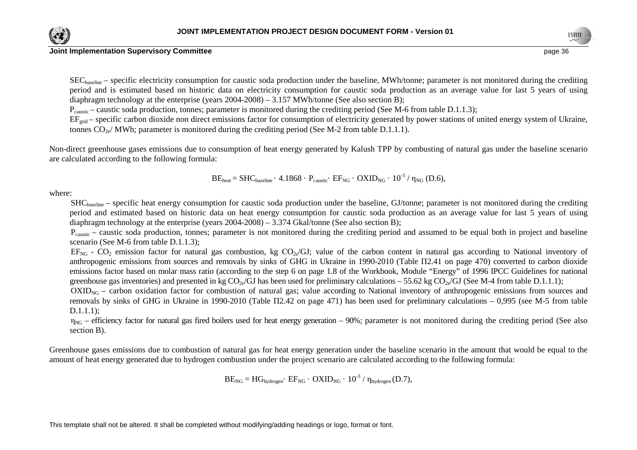

 $SEC_{baseline}$  – specific electricity consumption for caustic soda production under the baseline, MWh/tonne; parameter is not monitored during the crediting period and is estimated based on historic data on electricity consumption for caustic soda production as an average value for last 5 years of using diaphragm technology at the enterprise (years  $2004-2008$ ) – 3.157 MWh/tonne (See also section B);

P<sub>caustic</sub> – caustic soda production, tonnes; parameter is monitored during the crediting period (See M-6 from table D.1.1.3);

 $EF_{grid}$  – specific carbon dioxide non direct emissions factor for consumption of electricity generated by power stations of united energy system of Ukraine, tonnes  $CO<sub>2e</sub>/MWh$ ; parameter is monitored during the crediting period (See M-2 from table D.1.1.1).

Non-direct greenhouse gases emissions due to consumption of heat energy generated by Kalush TPP by combusting of natural gas under the baseline scenario are calculated according to the following formula:

$$
BE_{heat} = SHC_{baseline} \cdot 4.1868 \cdot P_{caustic} \cdot EF_{NG} \cdot OXID_{NG} \cdot 10^{-3} / \eta_{NG} (D.6),
$$

where:

SHCbaseline – specific heat energy consumption for caustic soda production under the baseline, GJ/tonne; parameter is not monitored during the crediting period and estimated based on historic data on heat energy consumption for caustic soda production as an average value for last 5 years of using diaphragm technology at the enterprise (years  $2004-2008$ ) – 3.374 Gkal/tonne (See also section B);

P<sub>caustic</sub> – caustic soda production, tonnes; parameter is not monitored during the crediting period and assumed to be equal both in project and baseline scenario (See M-6 from table D.1.1.3);

 $EF_{NG}$  -  $CO_2$  emission factor for natural gas combustion, kg  $CO_{2e}/GU$ ; value of the carbon content in natural gas according to National inventory of anthropogenic emissions from sources and removals by sinks of GHG in Ukraine in 1990-2010 (Table П2.41 on page 470) converted to carbon dioxide emissions factor based on molar mass ratio (according to the step 6 on page 1.8 of the Workbook, Module "Energy" of 1996 IPCC Guidelines for national greenhouse gas inventories) and presented in kg CO<sub>2e</sub>/GJ has been used for preliminary calculations – 55.62 kg CO<sub>2e</sub>/GJ (See M-4 from table D.1.1.1);

OXID<sub>NG</sub> – carbon oxidation factor for combustion of natural gas; value according to National inventory of anthropogenic emissions from sources and removals by sinks of GHG in Ukraine in 1990-2010 (Table П2.42 on page 471) has been used for preliminary calculations – 0,995 (see M-5 from table D.1.1.1);

 $\eta_{NG}$  – efficiency factor for natural gas fired boilers used for heat energy generation – 90%; parameter is not monitored during the crediting period (See also section B).

Greenhouse gases emissions due to combustion of natural gas for heat energy generation under the baseline scenario in the amount that would be equal to the amount of heat energy generated due to hydrogen combustion under the project scenario are calculated according to the following formula:

 $\text{BE}_{\text{NG}} = \text{HG}_{\text{hydrogen}} \cdot \text{EF}_{\text{NG}} \cdot \text{OXID}_{\text{NG}} \cdot 10^{-3} / \eta_{\text{hydrogen}} (\text{D.7}),$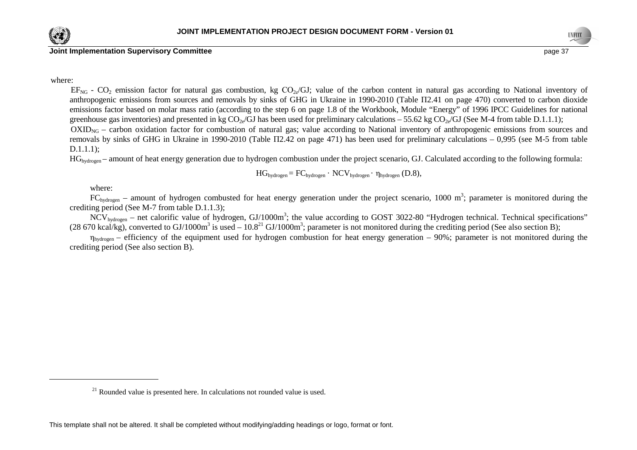



where:

 $EF_{NG}$  -  $CO_2$  emission factor for natural gas combustion, kg  $CO_{2e}/GU$ ; value of the carbon content in natural gas according to National inventory of anthropogenic emissions from sources and removals by sinks of GHG in Ukraine in 1990-2010 (Table П2.41 on page 470) converted to carbon dioxide emissions factor based on molar mass ratio (according to the step 6 on page 1.8 of the Workbook, Module "Energy" of 1996 IPCC Guidelines for national greenhouse gas inventories) and presented in kg CO<sub>2e</sub>/GJ has been used for preliminary calculations – 55.62 kg CO<sub>2e</sub>/GJ (See M-4 from table D.1.1.1); OXID<sub>NG</sub> – carbon oxidation factor for combustion of natural gas; value according to National inventory of anthropogenic emissions from sources and removals by sinks of GHG in Ukraine in 1990-2010 (Table П2.42 on page 471) has been used for preliminary calculations – 0,995 (see M-5 from table

## D.1.1.1);

HG<sub>hydrogen</sub> – amount of heat energy generation due to hydrogen combustion under the project scenario, GJ. Calculated according to the following formula:

$$
HG_{hydrogen} = FC_{hydrogen} \cdot NCV_{hydrogen} \cdot \eta_{hydrogen} (D.8),
$$

where:

 $FC_{hydrogen}$  – amount of hydrogen combusted for heat energy generation under the project scenario, 1000 m<sup>3</sup>; parameter is monitored during the crediting period (See M-7 from table D.1.1.3);

 $NCV<sub>hydrogen</sub>$  – net calorific value of hydrogen, GJ/1000m<sup>3</sup>; the value according to GOST 3022-80 "Hydrogen technical. Technical specifications" (28 670 kcal/kg), converted to GJ/1000m<sup>3</sup> is used – 10.8<sup>21</sup> GJ/1000m<sup>3</sup>; parameter is not monitored during the crediting period (See also section B);

 $η<sub>hydrogen</sub> – efficiency of the equipment used for hydrogen combustion for heat energy generation – 90%; parameter is not monitored during the$ crediting period (See also section B).

 $21$  Rounded value is presented here. In calculations not rounded value is used.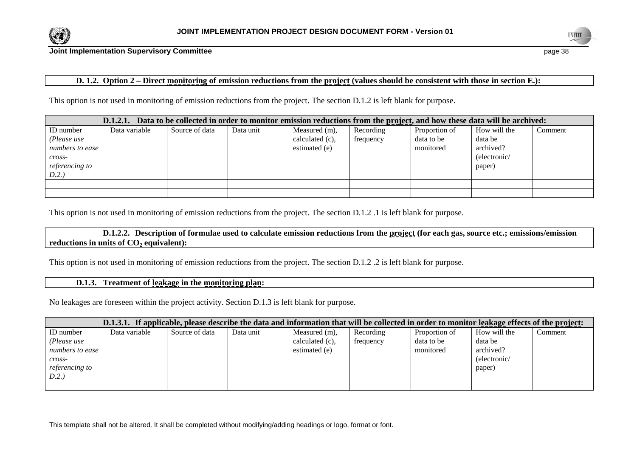



## **D. 1.2.** Option 2 – Direct monitoring of emission reductions from the project (values should be consistent with those in section E.):

This option is not used in monitoring of emission reductions from the project. The section D.1.2 is left blank for purpose.

|                       | Data to be collected in order to monitor emission reductions from the project, and how these data will be archived:<br>D.1.2.1. |                |           |                 |           |               |              |         |
|-----------------------|---------------------------------------------------------------------------------------------------------------------------------|----------------|-----------|-----------------|-----------|---------------|--------------|---------|
| ID number             | Data variable                                                                                                                   | Source of data | Data unit | Measured (m),   | Recording | Proportion of | How will the | Comment |
| (Please use           |                                                                                                                                 |                |           | calculated (c), | frequency | data to be    | data be      |         |
| numbers to ease       |                                                                                                                                 |                |           | estimated (e)   |           | monitored     | archived?    |         |
| $\mathit{cross}$ -    |                                                                                                                                 |                |           |                 |           |               | (electronic/ |         |
| <i>referencing to</i> |                                                                                                                                 |                |           |                 |           |               | paper)       |         |
| D.2.                  |                                                                                                                                 |                |           |                 |           |               |              |         |
|                       |                                                                                                                                 |                |           |                 |           |               |              |         |
|                       |                                                                                                                                 |                |           |                 |           |               |              |         |

This option is not used in monitoring of emission reductions from the project. The section D.1.2 .1 is left blank for purpose.

 **D.1.2.2. Description of formulae used to calculate emission reductions from the project (for each gas, source etc.; emissions/emission reductions in units of CO2 equivalent):** 

This option is not used in monitoring of emission reductions from the project. The section D.1.2 .2 is left blank for purpose.

#### **D.1.3. Treatment of leakage in the monitoring plan:**

No leakages are foreseen within the project activity. Section D.1.3 is left blank for purpose.

|                 | D.1.3.1. If applicable, please describe the data and information that will be collected in order to monitor leakage effects of the project: |                |           |                 |           |               |              |         |
|-----------------|---------------------------------------------------------------------------------------------------------------------------------------------|----------------|-----------|-----------------|-----------|---------------|--------------|---------|
| ID number       | Data variable                                                                                                                               | Source of data | Data unit | Measured (m),   | Recording | Proportion of | How will the | Comment |
| (Please use     |                                                                                                                                             |                |           | calculated (c), | frequency | data to be    | data be      |         |
| numbers to ease |                                                                                                                                             |                |           | estimated (e)   |           | monitored     | archived?    |         |
| cross-          |                                                                                                                                             |                |           |                 |           |               | (electronic/ |         |
| referencing to  |                                                                                                                                             |                |           |                 |           |               | paper)       |         |
| D.2.            |                                                                                                                                             |                |           |                 |           |               |              |         |
|                 |                                                                                                                                             |                |           |                 |           |               |              |         |

This template shall not be altered. It shall be completed without modifying/adding headings or logo, format or font.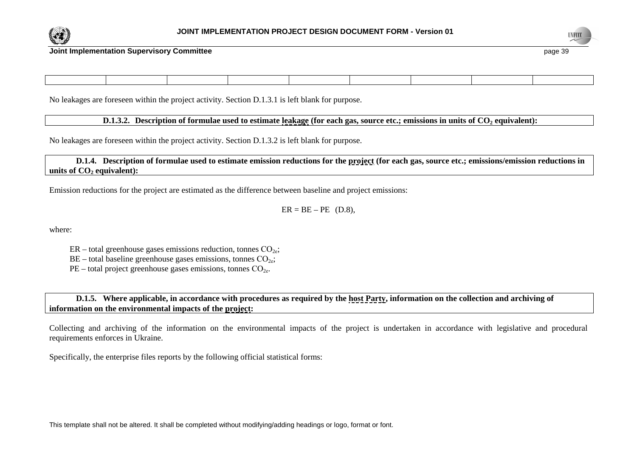



No leakages are foreseen within the project activity. Section D.1.3.1 is left blank for purpose.

 **D.1.3.2. Description of formulae used to estimate leakage (for each gas, source etc.; emissions in units of CO2 equivalent):** 

No leakages are foreseen within the project activity. Section D.1.3.2 is left blank for purpose.

 **D.1.4. Description of formulae used to estimate emission reductions for the project (for each gas, source etc.; emissions/emission reductions in units of CO2 equivalent):** 

Emission reductions for the project are estimated as the difference between baseline and project emissions:

 $ER = BE - PE$  (D.8),

where:

 $ER - total$  greenhouse gases emissions reduction, tonnes  $CO<sub>2e</sub>$ ;

 $BE$  – total baseline greenhouse gases emissions, tonnes  $CO<sub>2e</sub>$ ;

 $PE$  – total project greenhouse gases emissions, tonnes  $CO<sub>2e</sub>$ .

**D.1.5.** Where applicable, in accordance with procedures as required by the host Party, information on the collection and archiving of **information on the environmental impacts of the project:** 

Collecting and archiving of the information on the environmental impacts of the project is undertaken in accordance with legislative and procedural requirements enforces in Ukraine.

Specifically, the enterprise files reports by the following official statistical forms:

This template shall not be altered. It shall be completed without modifying/adding headings or logo, format or font.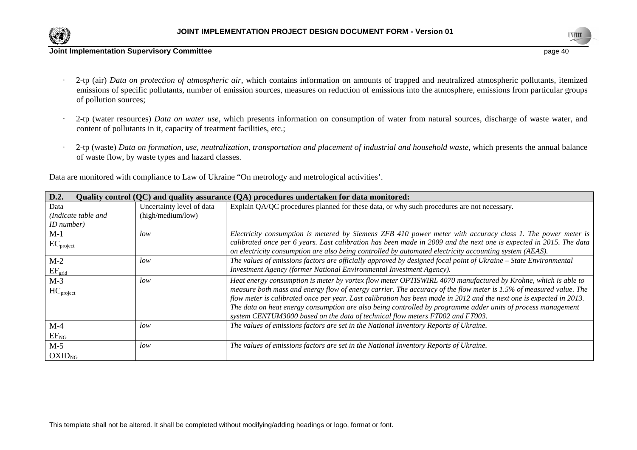

·



#### **Joint Implementation Supervisory Committee** page 40

- 2-tp (air) *Data on protection of atmospheric air*, which contains information on amounts of trapped and neutralized atmospheric pollutants, itemized emissions of specific pollutants, number of emission sources, measures on reduction of emissions into the atmosphere, emissions from particular groups of pollution sources;
- · 2-tp (water resources) *Data on water use*, which presents information on consumption of water from natural sources, discharge of waste water, and content of pollutants in it, capacity of treatment facilities, etc.;
- 2-tp (waste) *Data on formation, use, neutralization, transportation and placement of industrial and household waste*, which presents the annual balance of waste flow, by waste types and hazard classes.

Data are monitored with compliance to Law of Ukraine "On metrology and metrological activities'.

| D.2.                |                           | Quality control (QC) and quality assurance (QA) procedures undertaken for data monitored:                            |
|---------------------|---------------------------|----------------------------------------------------------------------------------------------------------------------|
| Data                | Uncertainty level of data | Explain QA/QC procedures planned for these data, or why such procedures are not necessary.                           |
| (Indicate table and | (high/medium/low)         |                                                                                                                      |
| ID number)          |                           |                                                                                                                      |
| $M-1$               | low                       | Electricity consumption is metered by Siemens ZFB 410 power meter with accuracy class 1. The power meter is          |
| $EC_{project}$      |                           | calibrated once per 6 years. Last calibration has been made in 2009 and the next one is expected in 2015. The data   |
|                     |                           | on electricity consumption are also being controlled by automated electricity accounting system (AEAS).              |
| $M-2$               | low                       | The values of emissions factors are officially approved by designed focal point of Ukraine – State Environmental     |
| $EF_{grid}$         |                           | Investment Agency (former National Environmental Investment Agency).                                                 |
| $M-3$               | low                       | Heat energy consumption is meter by vortex flow meter OPTISWIRL 4070 manufactured by Krohne, which is able to        |
| $HC_{project}$      |                           | measure both mass and energy flow of energy carrier. The accuracy of the flow meter is 1.5% of measured value. The   |
|                     |                           | flow meter is calibrated once per year. Last calibration has been made in 2012 and the next one is expected in 2013. |
|                     |                           | The data on heat energy consumption are also being controlled by programme adder units of process management         |
|                     |                           | system CENTUM3000 based on the data of technical flow meters FT002 and FT003.                                        |
| $M-4$               | low                       | The values of emissions factors are set in the National Inventory Reports of Ukraine.                                |
| $EF_{NG}$           |                           |                                                                                                                      |
| $M-5$               | low                       | The values of emissions factors are set in the National Inventory Reports of Ukraine.                                |
| $OXID_{NG}$         |                           |                                                                                                                      |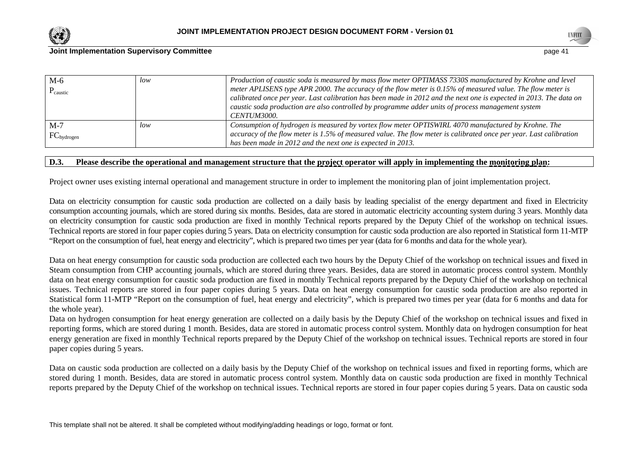



| $M-6$<br>$P_{\text{caustic}}$ | low | Production of caustic soda is measured by mass flow meter OPTIMASS 7330S manufactured by Krohne and level<br>meter APLISENS type APR 2000. The accuracy of the flow meter is 0.15% of measured value. The flow meter is<br>calibrated once per year. Last calibration has been made in 2012 and the next one is expected in 2013. The data on<br>caustic soda production are also controlled by programme adder units of process management system<br>CENTUM3000. |
|-------------------------------|-----|-------------------------------------------------------------------------------------------------------------------------------------------------------------------------------------------------------------------------------------------------------------------------------------------------------------------------------------------------------------------------------------------------------------------------------------------------------------------|
| $M-7$<br>$FC_{hydrogen}$      | low | Consumption of hydrogen is measured by vortex flow meter OPTISWIRL 4070 manufactured by Krohne. The<br>accuracy of the flow meter is 1.5% of measured value. The flow meter is calibrated once per year. Last calibration<br>has been made in 2012 and the next one is expected in 2013.                                                                                                                                                                          |

## **D.3. Please describe the operational and management structure that the project operator will apply in implementing the monitoring plan:**

Project owner uses existing internal operational and management structure in order to implement the monitoring plan of joint implementation project.

Data on electricity consumption for caustic soda production are collected on a daily basis by leading specialist of the energy department and fixed in Electricity consumption accounting journals, which are stored during six months. Besides, data are stored in automatic electricity accounting system during 3 years. Monthly data on electricity consumption for caustic soda production are fixed in monthly Technical reports prepared by the Deputy Chief of the workshop on technical issues. Technical reports are stored in four paper copies during 5 years. Data on electricity consumption for caustic soda production are also reported in Statistical form 11-MTP "Report on the consumption of fuel, heat energy and electricity", which is prepared two times per year (data for 6 months and data for the whole year).

Data on heat energy consumption for caustic soda production are collected each two hours by the Deputy Chief of the workshop on technical issues and fixed in Steam consumption from CHP accounting journals, which are stored during three years. Besides, data are stored in automatic process control system. Monthly data on heat energy consumption for caustic soda production are fixed in monthly Technical reports prepared by the Deputy Chief of the workshop on technical issues. Technical reports are stored in four paper copies during 5 years. Data on heat energy consumption for caustic soda production are also reported in Statistical form 11-MTP "Report on the consumption of fuel, heat energy and electricity", which is prepared two times per year (data for 6 months and data for the whole year).

 Data on hydrogen consumption for heat energy generation are collected on a daily basis by the Deputy Chief of the workshop on technical issues and fixed in reporting forms, which are stored during 1 month. Besides, data are stored in automatic process control system. Monthly data on hydrogen consumption for heat energy generation are fixed in monthly Technical reports prepared by the Deputy Chief of the workshop on technical issues. Technical reports are stored in four paper copies during 5 years.

Data on caustic soda production are collected on a daily basis by the Deputy Chief of the workshop on technical issues and fixed in reporting forms, which are stored during 1 month. Besides, data are stored in automatic process control system. Monthly data on caustic soda production are fixed in monthly Technical reports prepared by the Deputy Chief of the workshop on technical issues. Technical reports are stored in four paper copies during 5 years. Data on caustic soda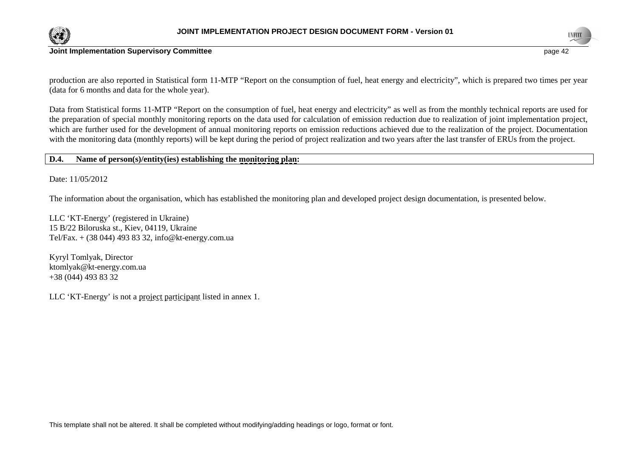



production are also reported in Statistical form 11-MTP "Report on the consumption of fuel, heat energy and electricity", which is prepared two times per year (data for 6 months and data for the whole year).

Data from Statistical forms 11-MTP "Report on the consumption of fuel, heat energy and electricity" as well as from the monthly technical reports are used for the preparation of special monthly monitoring reports on the data used for calculation of emission reduction due to realization of joint implementation project, which are further used for the development of annual monitoring reports on emission reductions achieved due to the realization of the project. Documentation with the monitoring data (monthly reports) will be kept during the period of project realization and two years after the last transfer of ERUs from the project.

#### **D.4. Name of person(s)/entity(ies) establishing the monitoring plan:**

Date: 11/05/2012

The information about the organisation, which has established the monitoring plan and developed project design documentation, is presented below.

LLC 'KT-Energy' (registered in Ukraine) 15 B/22 Biloruska st., Kiev, 04119, Ukraine Tel/Fax. + (38 044) 493 83 32, info@kt-energy.com.ua

Kyryl Tomlyak, Director ktomlyak@kt-energy.com.ua +38 (044) 493 83 32

LLC 'KT-Energy' is not a project participant listed in annex 1.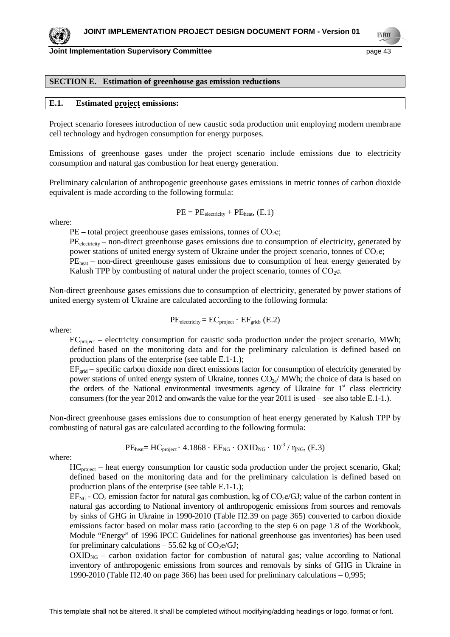#### **SECTION E. Estimation of greenhouse gas emission reductions**

#### **E.1. Estimated project emissions:**

Project scenario foresees introduction of new caustic soda production unit employing modern membrane cell technology and hydrogen consumption for energy purposes.

Emissions of greenhouse gases under the project scenario include emissions due to electricity consumption and natural gas combustion for heat energy generation.

Preliminary calculation of anthropogenic greenhouse gases emissions in metric tonnes of carbon dioxide equivalent is made according to the following formula:

$$
PE = PE_{electricity} + PE_{heat}, (E.1)
$$

where:

 $PE$  – total project greenhouse gases emissions, tonnes of  $CO<sub>2</sub>e$ ;

PE<sub>electricity</sub> – non-direct greenhouse gases emissions due to consumption of electricity, generated by power stations of united energy system of Ukraine under the project scenario, tonnes of CO<sub>2</sub>e;

 $PE<sub>heat</sub>$  – non-direct greenhouse gases emissions due to consumption of heat energy generated by Kalush TPP by combusting of natural under the project scenario, tonnes of  $CO<sub>2</sub>e$ .

Non-direct greenhouse gases emissions due to consumption of electricity, generated by power stations of united energy system of Ukraine are calculated according to the following formula:

 $PE_{electricity} = EC_{project} \cdot EF_{grid}$ ,  $(E.2)$ 

where:

ECproject – electricity consumption for caustic soda production under the project scenario, MWh; defined based on the monitoring data and for the preliminary calculation is defined based on production plans of the enterprise (see table E.1-1.);

 $EF_{\text{grid}}$  – specific carbon dioxide non direct emissions factor for consumption of electricity generated by power stations of united energy system of Ukraine, tonnes  $CO<sub>2e</sub>$ / MWh; the choice of data is based on the orders of the National environmental investments agency of Ukraine for  $1<sup>st</sup>$  class electricity consumers (for the year 2012 and onwards the value for the year 2011 is used – see also table E.1-1.).

Non-direct greenhouse gases emissions due to consumption of heat energy generated by Kalush TPP by combusting of natural gas are calculated according to the following formula:

$$
PE_{heat} = HC_{project} \cdot 4.1868 \cdot EF_{NG} \cdot OXID_{NG} \cdot 10^{-3} / \eta_{NG}, (E.3)
$$

where:

 $HC<sub>project</sub>$  – heat energy consumption for caustic soda production under the project scenario, Gkal; defined based on the monitoring data and for the preliminary calculation is defined based on production plans of the enterprise (see table E.1-1.);

 $EF_{NG}$  - CO<sub>2</sub> emission factor for natural gas combustion, kg of CO<sub>2</sub>e/GJ; value of the carbon content in natural gas according to National inventory of anthropogenic emissions from sources and removals by sinks of GHG in Ukraine in 1990-2010 (Table П2.39 on page 365) converted to carbon dioxide emissions factor based on molar mass ratio (according to the step 6 on page 1.8 of the Workbook, Module "Energy" of 1996 IPCC Guidelines for national greenhouse gas inventories) has been used for preliminary calculations  $-55.62$  kg of CO<sub>2</sub>e/GJ;

 $\text{OXID}_{\text{NG}}$  – carbon oxidation factor for combustion of natural gas; value according to National inventory of anthropogenic emissions from sources and removals by sinks of GHG in Ukraine in 1990-2010 (Table  $\Pi$ 2.40 on page 366) has been used for preliminary calculations  $-0.995$ ;



**TNECO**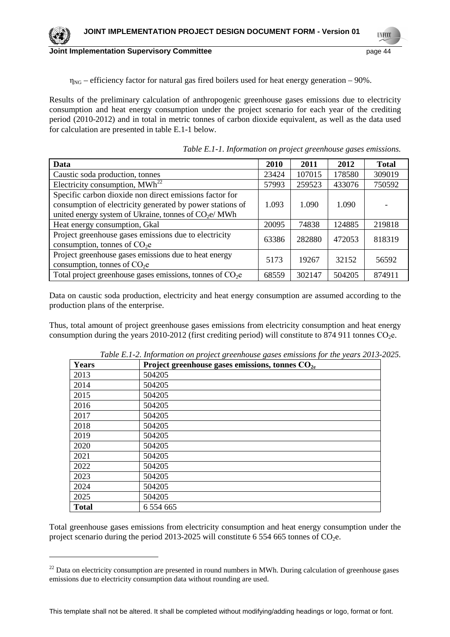

 $\eta_{NG}$  – efficiency factor for natural gas fired boilers used for heat energy generation – 90%.

Results of the preliminary calculation of anthropogenic greenhouse gases emissions due to electricity consumption and heat energy consumption under the project scenario for each year of the crediting period (2010-2012) and in total in metric tonnes of carbon dioxide equivalent, as well as the data used for calculation are presented in table E.1-1 below.

| Data                                                                                                                                                                          | 2010  | 2011   | 2012   | <b>Total</b> |
|-------------------------------------------------------------------------------------------------------------------------------------------------------------------------------|-------|--------|--------|--------------|
| Caustic soda production, tonnes                                                                                                                                               | 23424 | 107015 | 178580 | 309019       |
| Electricity consumption, $MWh^{22}$                                                                                                                                           | 57993 | 259523 | 433076 | 750592       |
| Specific carbon dioxide non direct emissions factor for<br>consumption of electricity generated by power stations of<br>united energy system of Ukraine, tonnes of $CO2e/MWh$ | 1.093 | 1.090  | 1.090  |              |
| Heat energy consumption, Gkal                                                                                                                                                 | 20095 | 74838  | 124885 | 219818       |
| Project greenhouse gases emissions due to electricity<br>consumption, tonnes of $CO2e$                                                                                        | 63386 | 282880 | 472053 | 818319       |
| Project greenhouse gases emissions due to heat energy<br>consumption, tonnes of $CO2e$                                                                                        | 5173  | 19267  | 32152  | 56592        |
| Total project greenhouse gases emissions, tonnes of $CO2e$                                                                                                                    | 68559 | 302147 | 504205 | 874911       |

*Table E.1-1. Information on project greenhouse gases emissions.* 

Data on caustic soda production, electricity and heat energy consumption are assumed according to the production plans of the enterprise.

Thus, total amount of project greenhouse gases emissions from electricity consumption and heat energy consumption during the years 2010-2012 (first crediting period) will constitute to 874 911 tonnes  $CO<sub>2</sub>e$ .

| Years        | Project greenhouse gases emissions, tonnes $CO2e$ |
|--------------|---------------------------------------------------|
| 2013         | 504205                                            |
| 2014         | 504205                                            |
| 2015         | 504205                                            |
| 2016         | 504205                                            |
| 2017         | 504205                                            |
| 2018         | 504205                                            |
| 2019         | 504205                                            |
| 2020         | 504205                                            |
| 2021         | 504205                                            |
| 2022         | 504205                                            |
| 2023         | 504205                                            |
| 2024         | 504205                                            |
| 2025         | 504205                                            |
| <b>Total</b> | 6 5 5 4 6 6 5                                     |

*Table E.1-2. Information on project greenhouse gases emissions for the years 2013-2025.* 

Total greenhouse gases emissions from electricity consumption and heat energy consumption under the project scenario during the period 2013-2025 will constitute 6 554 665 tonnes of  $CO<sub>2</sub>e$ .

 $\overline{a}$ 

 $22$  Data on electricity consumption are presented in round numbers in MWh. During calculation of greenhouse gases emissions due to electricity consumption data without rounding are used.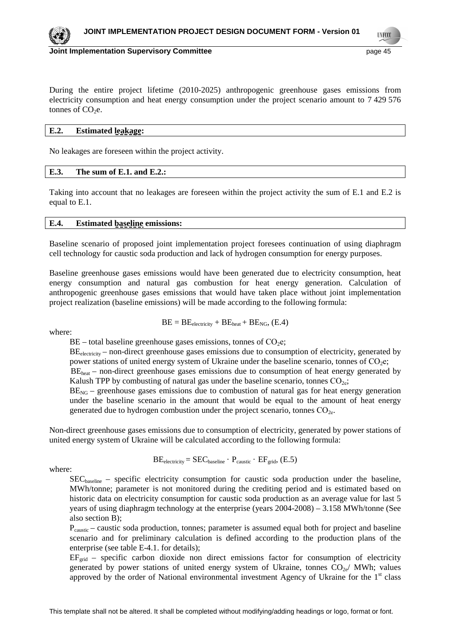

**TNECO** 

#### **Joint Implementation Supervisory Committee** *page 15* **page 45**

During the entire project lifetime (2010-2025) anthropogenic greenhouse gases emissions from electricity consumption and heat energy consumption under the project scenario amount to 7 429 576 tonnes of  $CO<sub>2</sub>e$ .

## **E.2. Estimated leakage:**

No leakages are foreseen within the project activity.

#### **E.3. The sum of E.1. and E.2.:**

Taking into account that no leakages are foreseen within the project activity the sum of E.1 and E.2 is equal to E.1.

#### **E.4. Estimated baseline emissions:**

Baseline scenario of proposed joint implementation project foresees continuation of using diaphragm cell technology for caustic soda production and lack of hydrogen consumption for energy purposes.

Baseline greenhouse gases emissions would have been generated due to electricity consumption, heat energy consumption and natural gas combustion for heat energy generation. Calculation of anthropogenic greenhouse gases emissions that would have taken place without joint implementation project realization (baseline emissions) will be made according to the following formula:

where:

$$
BE = BE_{electricity} + BE_{heat} + BE_{NG}, (E.4)
$$

 $BE$  – total baseline greenhouse gases emissions, tonnes of CO<sub>2</sub>e;

BE<sub>electricity</sub> – non-direct greenhouse gases emissions due to consumption of electricity, generated by power stations of united energy system of Ukraine under the baseline scenario, tonnes of  $CO<sub>2</sub>e$ ;

 $BE<sub>heat</sub>$  – non-direct greenhouse gases emissions due to consumption of heat energy generated by Kalush TPP by combusting of natural gas under the baseline scenario, tonnes  $CO<sub>2e</sub>$ ;

 $BE<sub>NG</sub>$  – greenhouse gases emissions due to combustion of natural gas for heat energy generation under the baseline scenario in the amount that would be equal to the amount of heat energy generated due to hydrogen combustion under the project scenario, tonnes  $CO<sub>2e</sub>$ .

Non-direct greenhouse gases emissions due to consumption of electricity, generated by power stations of united energy system of Ukraine will be calculated according to the following formula:

$$
BE_{electricity} = SEC_{baseline} \cdot P_{caustic} \cdot EF_{grid}, (E.5)
$$

where:

SECbaseline – specific electricity consumption for caustic soda production under the baseline, MWh/tonne; parameter is not monitored during the crediting period and is estimated based on historic data on electricity consumption for caustic soda production as an average value for last 5 years of using diaphragm technology at the enterprise (years 2004-2008) – 3.158 MWh/tonne (See also section B);

 $P_{\text{cavstic}}$  – caustic soda production, tonnes; parameter is assumed equal both for project and baseline scenario and for preliminary calculation is defined according to the production plans of the enterprise (see table E-4.1. for details);

 $EF_{\text{grid}}$  – specific carbon dioxide non direct emissions factor for consumption of electricity generated by power stations of united energy system of Ukraine, tonnes  $CO_{2e}$ / MWh; values approved by the order of National environmental investment Agency of Ukraine for the  $1<sup>st</sup>$  class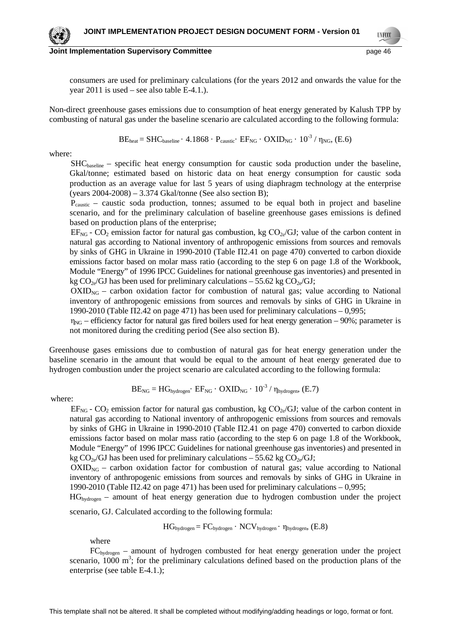**TNECO** 

consumers are used for preliminary calculations (for the years 2012 and onwards the value for the year 2011 is used – see also table E-4.1.).

Non-direct greenhouse gases emissions due to consumption of heat energy generated by Kalush TPP by combusting of natural gas under the baseline scenario are calculated according to the following formula:

 $BE<sub>heat</sub> = SHC<sub>baseline</sub> \cdot 4.1868 \cdot P<sub>caustic</sub> \cdot EF<sub>NG</sub> \cdot OXID<sub>NG</sub> \cdot 10<sup>-3</sup> / \eta<sub>NG</sub>$  (E.6)

where:

 $SHC<sub>baseline</sub>$  – specific heat energy consumption for caustic soda production under the baseline, Gkal/tonne; estimated based on historic data on heat energy consumption for caustic soda production as an average value for last 5 years of using diaphragm technology at the enterprise (years 2004-2008) – 3.374 Gkal/tonne (See also section B);

 $P_{\text{coustic}}$  – caustic soda production, tonnes; assumed to be equal both in project and baseline scenario, and for the preliminary calculation of baseline greenhouse gases emissions is defined based on production plans of the enterprise;

 $EF_{NG}$  -  $CO_2$  emission factor for natural gas combustion, kg  $CO_{2e}/GU$ ; value of the carbon content in natural gas according to National inventory of anthropogenic emissions from sources and removals by sinks of GHG in Ukraine in 1990-2010 (Table П2.41 on page 470) converted to carbon dioxide emissions factor based on molar mass ratio (according to the step 6 on page 1.8 of the Workbook, Module "Energy" of 1996 IPCC Guidelines for national greenhouse gas inventories) and presented in kg  $CO_{2e}/GI$  has been used for preliminary calculations – 55.62 kg  $CO_{2e}/GI$ ;

 $OXID<sub>NG</sub> - carbon oxidation factor for combustion of natural gas; value according to National$ inventory of anthropogenic emissions from sources and removals by sinks of GHG in Ukraine in 1990-2010 (Table  $\Pi$ 2.42 on page 471) has been used for preliminary calculations  $-0.995$ ;

 $\eta_{NG}$  – efficiency factor for natural gas fired boilers used for heat energy generation – 90%; parameter is not monitored during the crediting period (See also section B).

Greenhouse gases emissions due to combustion of natural gas for heat energy generation under the baseline scenario in the amount that would be equal to the amount of heat energy generated due to hydrogen combustion under the project scenario are calculated according to the following formula:

$$
BE_{NG} = HG_{hydrogen} \cdot EF_{NG} \cdot OXID_{NG} \cdot 10^{-3} / \eta_{hydrogen} \cdot (E.7)
$$

where:

 $EF_{NG}$  -  $CO_2$  emission factor for natural gas combustion, kg  $CO_{2e}/GU$ ; value of the carbon content in natural gas according to National inventory of anthropogenic emissions from sources and removals by sinks of GHG in Ukraine in 1990-2010 (Table П2.41 on page 470) converted to carbon dioxide emissions factor based on molar mass ratio (according to the step 6 on page 1.8 of the Workbook, Module "Energy" of 1996 IPCC Guidelines for national greenhouse gas inventories) and presented in kg  $CO_{2e}/GJ$  has been used for preliminary calculations – 55.62 kg  $CO_{2e}/GJ$ ;

 $OXID<sub>NG</sub>$  – carbon oxidation factor for combustion of natural gas; value according to National inventory of anthropogenic emissions from sources and removals by sinks of GHG in Ukraine in 1990-2010 (Table  $\Pi$ 2.42 on page 471) has been used for preliminary calculations  $-0.995$ ;

 $HG_{hydroen}$  – amount of heat energy generation due to hydrogen combustion under the project scenario, GJ. Calculated according to the following formula:

 $HG_{hydrogen} = FC_{hydrogen} \cdot NCV_{hydrogen} \cdot \eta_{hydrogen} (E.8)$ 

where

 $FC_{hydrogen}$  – amount of hydrogen combusted for heat energy generation under the project scenario,  $1000 \text{ m}^3$ ; for the preliminary calculations defined based on the production plans of the enterprise (see table E-4.1.);

This template shall not be altered. It shall be completed without modifying/adding headings or logo, format or font.

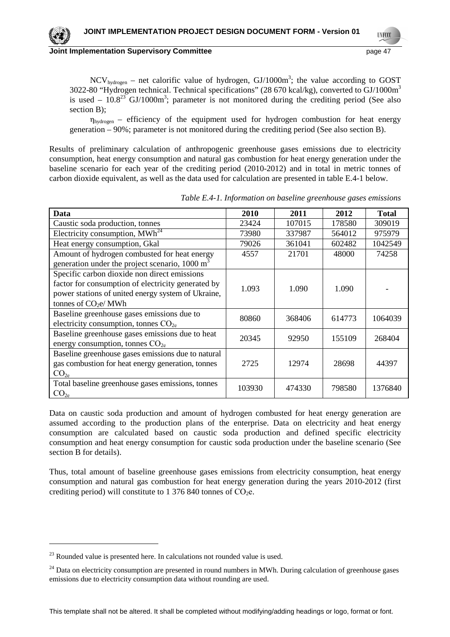#### **Joint Implementation Supervisory Committee** *page 47* **and the set of the set of the set of the set of the set of the set of the set of the set of the set of the set of the set of the set of the set of the set of the set of**

 $NCV_{hydrogen}$  – net calorific value of hydrogen,  $GI/1000m^3$ ; the value according to GOST 3022-80 "Hydrogen technical. Technical specifications" (28 670 kcal/kg), converted to GJ/1000m<sup>3</sup> is used  $-10.8^{23}$  GJ/1000m<sup>3</sup>; parameter is not monitored during the crediting period (See also section B);

 $\eta_{hydrogen}$  – efficiency of the equipment used for hydrogen combustion for heat energy generation – 90%; parameter is not monitored during the crediting period (See also section B).

Results of preliminary calculation of anthropogenic greenhouse gases emissions due to electricity consumption, heat energy consumption and natural gas combustion for heat energy generation under the baseline scenario for each year of the crediting period (2010-2012) and in total in metric tonnes of carbon dioxide equivalent, as well as the data used for calculation are presented in table E.4-1 below.

| Data                                                       | <b>2010</b> | 2011   | 2012   | <b>Total</b> |
|------------------------------------------------------------|-------------|--------|--------|--------------|
| Caustic soda production, tonnes                            | 23424       | 107015 | 178580 | 309019       |
| Electricity consumption, MWh <sup>24</sup>                 | 73980       | 337987 | 564012 | 975979       |
| Heat energy consumption, Gkal                              | 79026       | 361041 | 602482 | 1042549      |
| Amount of hydrogen combusted for heat energy               | 4557        | 21701  | 48000  | 74258        |
| generation under the project scenario, 1000 m <sup>3</sup> |             |        |        |              |
| Specific carbon dioxide non direct emissions               |             |        |        |              |
| factor for consumption of electricity generated by         | 1.093       | 1.090  | 1.090  |              |
| power stations of united energy system of Ukraine,         |             |        |        |              |
| tonnes of $CO2e/MWh$                                       |             |        |        |              |
| Baseline greenhouse gases emissions due to                 | 80860       | 368406 | 614773 | 1064039      |
| electricity consumption, tonnes $CO2e$                     |             |        |        |              |
| Baseline greenhouse gases emissions due to heat            | 20345       | 92950  | 155109 | 268404       |
| energy consumption, tonnes $CO2e$                          |             |        |        |              |
| Baseline greenhouse gases emissions due to natural         |             |        |        |              |
| gas combustion for heat energy generation, tonnes          | 2725        | 12974  | 28698  | 44397        |
| CO <sub>2e</sub>                                           |             |        |        |              |
| Total baseline greenhouse gases emissions, tonnes          | 103930      | 474330 | 798580 | 1376840      |
| CO <sub>2e</sub>                                           |             |        |        |              |

*Table E.4-1. Information on baseline greenhouse gases emissions* 

Data on caustic soda production and amount of hydrogen combusted for heat energy generation are assumed according to the production plans of the enterprise. Data on electricity and heat energy consumption are calculated based on caustic soda production and defined specific electricity consumption and heat energy consumption for caustic soda production under the baseline scenario (See section B for details).

Thus, total amount of baseline greenhouse gases emissions from electricity consumption, heat energy consumption and natural gas combustion for heat energy generation during the years 2010-2012 (first crediting period) will constitute to 1 376 840 tonnes of  $CO<sub>2</sub>e$ .

 $\overline{a}$ 

 $^{23}$  Rounded value is presented here. In calculations not rounded value is used.

 $24$  Data on electricity consumption are presented in round numbers in MWh. During calculation of greenhouse gases emissions due to electricity consumption data without rounding are used.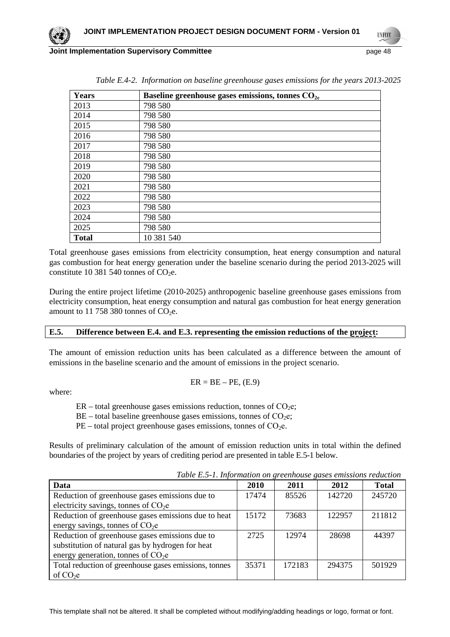**TNECO Joint Implementation Supervisory Committee page 18** page 48

| Years        | Baseline greenhouse gases emissions, tonnes CO <sub>2e</sub> |
|--------------|--------------------------------------------------------------|
| 2013         | 798 580                                                      |
| 2014         | 798 580                                                      |
| 2015         | 798 580                                                      |
| 2016         | 798 580                                                      |
| 2017         | 798 580                                                      |
| 2018         | 798 580                                                      |
| 2019         | 798 580                                                      |
| 2020         | 798 580                                                      |
| 2021         | 798 580                                                      |
| 2022         | 798 580                                                      |
| 2023         | 798 580                                                      |
| 2024         | 798 580                                                      |
| 2025         | 798 580                                                      |
| <b>Total</b> | 10 381 540                                                   |

*Table E.4-2. Information on baseline greenhouse gases emissions for the years 2013-2025* 

Total greenhouse gases emissions from electricity consumption, heat energy consumption and natural gas combustion for heat energy generation under the baseline scenario during the period 2013-2025 will constitute 10 381 540 tonnes of  $CO<sub>2</sub>e$ .

During the entire project lifetime (2010-2025) anthropogenic baseline greenhouse gases emissions from electricity consumption, heat energy consumption and natural gas combustion for heat energy generation amount to 11 758 380 tonnes of  $CO<sub>2</sub>e$ .

#### **E.5. Difference between E.4. and E.3. representing the emission reductions of the project:**

The amount of emission reduction units has been calculated as a difference between the amount of emissions in the baseline scenario and the amount of emissions in the project scenario.

$$
ER = BE - PE, (E.9)
$$

where:

 $ER$  – total greenhouse gases emissions reduction, tonnes of  $CO<sub>2</sub>e$ ;

 $BE$  – total baseline greenhouse gases emissions, tonnes of CO<sub>2</sub>e;

 $PE$  – total project greenhouse gases emissions, tonnes of  $CO<sub>2</sub>e$ .

Results of preliminary calculation of the amount of emission reduction units in total within the defined boundaries of the project by years of crediting period are presented in table E.5-1 below.

| Data                                                  | 2010  | 2011   | 2012   | <b>Total</b> |
|-------------------------------------------------------|-------|--------|--------|--------------|
| Reduction of greenhouse gases emissions due to        | 17474 | 85526  | 142720 | 245720       |
| electricity savings, tonnes of $CO2e$                 |       |        |        |              |
| Reduction of greenhouse gases emissions due to heat   | 15172 | 73683  | 122957 | 211812       |
| energy savings, tonnes of $CO2e$                      |       |        |        |              |
| Reduction of greenhouse gases emissions due to        | 2725  | 12974  | 28698  | 44397        |
| substitution of natural gas by hydrogen for heat      |       |        |        |              |
| energy generation, tonnes of $CO2e$                   |       |        |        |              |
| Total reduction of greenhouse gases emissions, tonnes | 35371 | 172183 | 294375 | 501929       |
| of $CO2e$                                             |       |        |        |              |

*Table E.5-1. Information on greenhouse gases emissions reduction*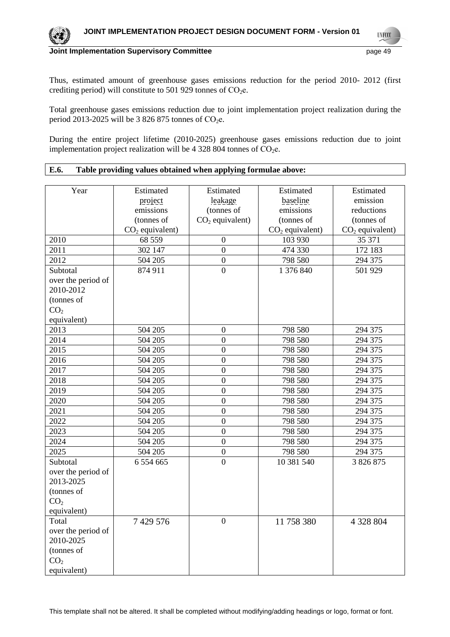**UNFCC** 

## **Joint Implementation Supervisory Committee** page 49

Thus, estimated amount of greenhouse gases emissions reduction for the period 2010- 2012 (first crediting period) will constitute to 501 929 tonnes of  $CO<sub>2</sub>e$ .

Total greenhouse gases emissions reduction due to joint implementation project realization during the period 2013-2025 will be 3 826 875 tonnes of  $CO<sub>2</sub>e$ .

During the entire project lifetime (2010-2025) greenhouse gases emissions reduction due to joint implementation project realization will be 4 328 804 tonnes of  $CO<sub>2</sub>e$ .

**E.6. Table providing values obtained when applying formulae above:** 

| Year               | Estimated         | Estimated         | Estimated         | Estimated         |
|--------------------|-------------------|-------------------|-------------------|-------------------|
|                    | project           | leakage           | baseline          | emission          |
|                    | emissions         | (tonnes of        | emissions         | reductions        |
|                    | (tonnes of        | $CO2$ equivalent) | (tonnes of        | (tonnes of        |
|                    | $CO2$ equivalent) |                   | $CO2$ equivalent) | $CO2$ equivalent) |
| 2010               | 68 559            | $\boldsymbol{0}$  | 103 930           | 35 371            |
| 2011               | 302 147           | $\overline{0}$    | 474 330           | 172 183           |
| 2012               | 504 205           | $\overline{0}$    | 798 580           | 294 375           |
| Subtotal           | 874 911           | $\overline{0}$    | 1 376 840         | 501 929           |
| over the period of |                   |                   |                   |                   |
| 2010-2012          |                   |                   |                   |                   |
| (tonnes of         |                   |                   |                   |                   |
| CO <sub>2</sub>    |                   |                   |                   |                   |
| equivalent)        |                   |                   |                   |                   |
| 2013               | 504 205           | $\boldsymbol{0}$  | 798 580           | 294 375           |
| 2014               | 504 205           | $\overline{0}$    | 798 580           | 294 375           |
| 2015               | 504 205           | $\overline{0}$    | 798 580           | 294 375           |
| 2016               | 504 205           | $\overline{0}$    | 798 580           | 294 375           |
| 2017               | 504 205           | $\overline{0}$    | 798 580           | 294 375           |
| 2018               | 504 205           | $\overline{0}$    | 798 580           | 294 375           |
| 2019               | 504 205           | $\boldsymbol{0}$  | 798 580           | 294 375           |
| 2020               | 504 205           | $\overline{0}$    | 798 580           | 294 375           |
| 2021               | 504 205           | $\overline{0}$    | 798 580           | 294 375           |
| 2022               | 504 205           | $\boldsymbol{0}$  | 798 580           | 294 375           |
| 2023               | 504 205           | $\overline{0}$    | 798 580           | 294 375           |
| 2024               | 504 205           | $\overline{0}$    | 798 580           | 294 375           |
| 2025               | 504 205           | $\boldsymbol{0}$  | 798 580           | 294 375           |
| Subtotal           | 6 5 5 4 6 6 5     | $\overline{0}$    | 10 381 540        | 3 826 875         |
| over the period of |                   |                   |                   |                   |
| 2013-2025          |                   |                   |                   |                   |
| (tonnes of         |                   |                   |                   |                   |
| CO <sub>2</sub>    |                   |                   |                   |                   |
| equivalent)        |                   |                   |                   |                   |
| Total              | 7 429 576         | $\boldsymbol{0}$  | 11 758 380        | 4 328 804         |
| over the period of |                   |                   |                   |                   |
| 2010-2025          |                   |                   |                   |                   |
| (tonnes of         |                   |                   |                   |                   |
| CO <sub>2</sub>    |                   |                   |                   |                   |
| equivalent)        |                   |                   |                   |                   |

This template shall not be altered. It shall be completed without modifying/adding headings or logo, format or font.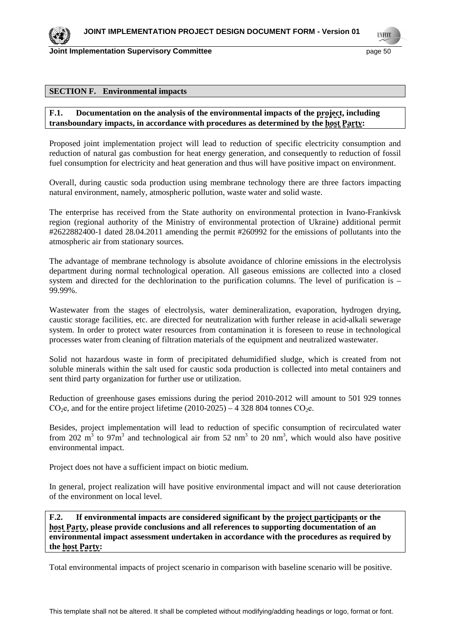

**TIVECO** 

#### **SECTION F. Environmental impacts**

## **F.1. Documentation on the analysis of the environmental impacts of the project, including transboundary impacts, in accordance with procedures as determined by the host Party:**

Proposed joint implementation project will lead to reduction of specific electricity consumption and reduction of natural gas combustion for heat energy generation, and consequently to reduction of fossil fuel consumption for electricity and heat generation and thus will have positive impact on environment.

Overall, during caustic soda production using membrane technology there are three factors impacting natural environment, namely, atmospheric pollution, waste water and solid waste.

The enterprise has received from the State authority on environmental protection in Ivano-Frankivsk region (regional authority of the Ministry of environmental protection of Ukraine) additional permit #2622882400-1 dated 28.04.2011 amending the permit #260992 for the emissions of pollutants into the atmospheric air from stationary sources.

The advantage of membrane technology is absolute avoidance of chlorine emissions in the electrolysis department during normal technological operation. All gaseous emissions are collected into a closed system and directed for the dechlorination to the purification columns. The level of purification is – 99.99%.

Wastewater from the stages of electrolysis, water demineralization, evaporation, hydrogen drying, caustic storage facilities, etc. are directed for neutralization with further release in acid-alkali sewerage system. In order to protect water resources from contamination it is foreseen to reuse in technological processes water from cleaning of filtration materials of the equipment and neutralized wastewater.

Solid not hazardous waste in form of precipitated dehumidified sludge, which is created from not soluble minerals within the salt used for caustic soda production is collected into metal containers and sent third party organization for further use or utilization.

Reduction of greenhouse gases emissions during the period 2010-2012 will amount to 501 929 tonnes CO<sub>2</sub>e, and for the entire project lifetime  $(2010-2025) - 4328804$  tonnes CO<sub>2</sub>e.

Besides, project implementation will lead to reduction of specific consumption of recirculated water from 202  $\text{m}^3$  to 97 $\text{m}^3$  and technological air from 52 nm<sup>3</sup> to 20 nm<sup>3</sup>, which would also have positive environmental impact.

Project does not have a sufficient impact on biotic medium.

In general, project realization will have positive environmental impact and will not cause deterioration of the environment on local level.

**F.2. If environmental impacts are considered significant by the project participants or the host Party, please provide conclusions and all references to supporting documentation of an environmental impact assessment undertaken in accordance with the procedures as required by the host Party:** 

Total environmental impacts of project scenario in comparison with baseline scenario will be positive.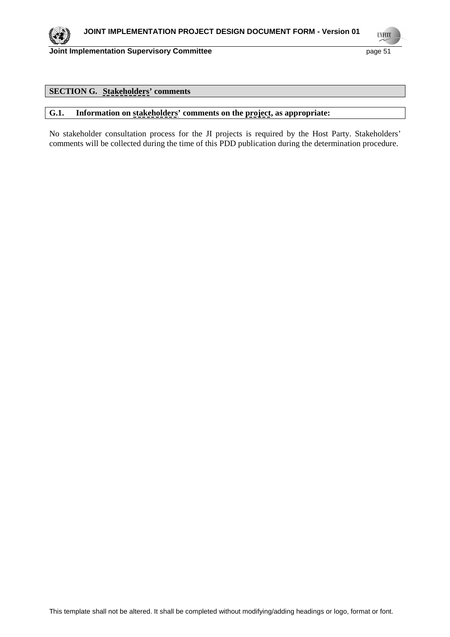

**UNFCCC** 

## **Joint Implementation Supervisory Committee page 51** page 51

# **SECTION G. Stakeholders' comments**

# **G.1. Information on stakeholders' comments on the project, as appropriate:**

No stakeholder consultation process for the JI projects is required by the Host Party. Stakeholders' comments will be collected during the time of this PDD publication during the determination procedure.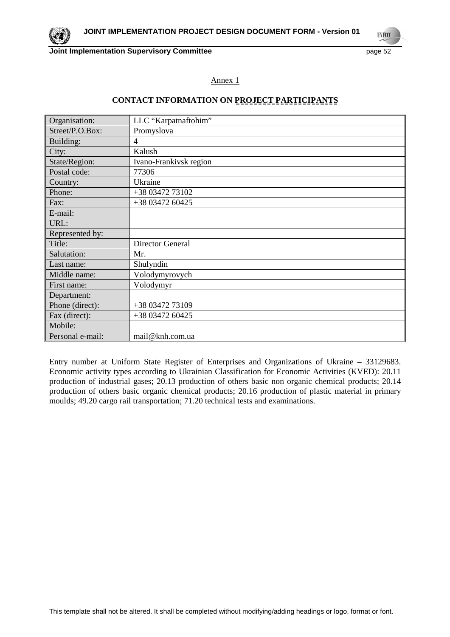**UNFCCC** 

## Annex 1

## **CONTACT INFORMATION ON PROJECT PARTICIPANTS**

| Organisation:    | LLC "Karpatnaftohim"    |
|------------------|-------------------------|
| Street/P.O.Box:  | Promyslova              |
| Building:        | 4                       |
| City:            | Kalush                  |
| State/Region:    | Ivano-Frankivsk region  |
| Postal code:     | 77306                   |
| Country:         | Ukraine                 |
| Phone:           | +38 03472 73102         |
| Fax:             | +38 03472 60425         |
| E-mail:          |                         |
| URL:             |                         |
| Represented by:  |                         |
| Title:           | <b>Director General</b> |
| Salutation:      | Mr.                     |
| Last name:       | Shulyndin               |
| Middle name:     | Volodymyrovych          |
| First name:      | Volodymyr               |
| Department:      |                         |
| Phone (direct):  | +38 03472 73109         |
| Fax (direct):    | +38 03472 60425         |
| Mobile:          |                         |
| Personal e-mail: | mail@knh.com.ua         |

Entry number at Uniform State Register of Enterprises and Organizations of Ukraine – 33129683. Economic activity types according to Ukrainian Classification for Economic Activities (KVED): 20.11 production of industrial gases; 20.13 production of others basic non organic chemical products; 20.14 production of others basic organic chemical products; 20.16 production of plastic material in primary moulds; 49.20 cargo rail transportation; 71.20 technical tests and examinations.

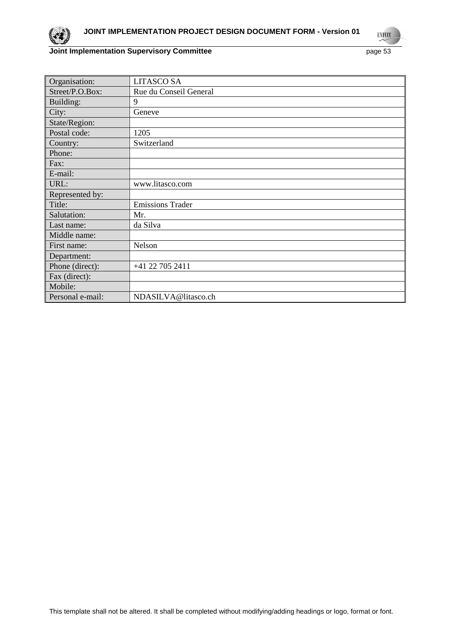

**UNFCCC** 

# **Joint Implementation Supervisory Committee** page 53

| Organisation:    | <b>LITASCO SA</b>       |
|------------------|-------------------------|
| Street/P.O.Box:  | Rue du Conseil General  |
| Building:        | 9                       |
| City:            | Geneve                  |
| State/Region:    |                         |
| Postal code:     | 1205                    |
| Country:         | Switzerland             |
| Phone:           |                         |
| Fax:             |                         |
| E-mail:          |                         |
| URL:             | www.litasco.com         |
| Represented by:  |                         |
| Title:           | <b>Emissions Trader</b> |
| Salutation:      | Mr.                     |
| Last name:       | da Silva                |
| Middle name:     |                         |
| First name:      | Nelson                  |
| Department:      |                         |
| Phone (direct):  | +41 22 705 2411         |
| Fax (direct):    |                         |
| Mobile:          |                         |
| Personal e-mail: | NDASILVA@litasco.ch     |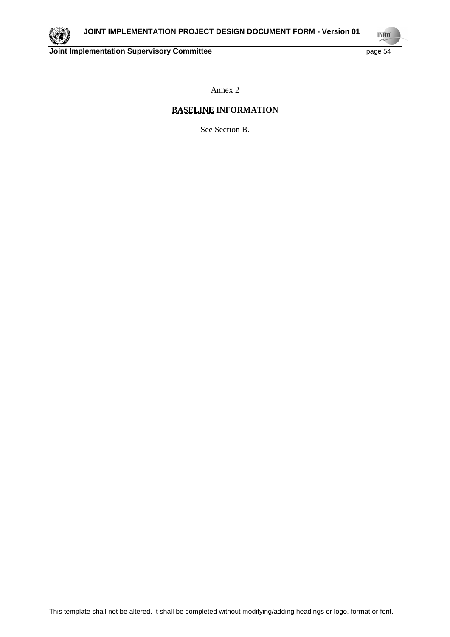

**UNFCCC** 

Annex 2

# **BASELINE INFORMATION**

See Section B.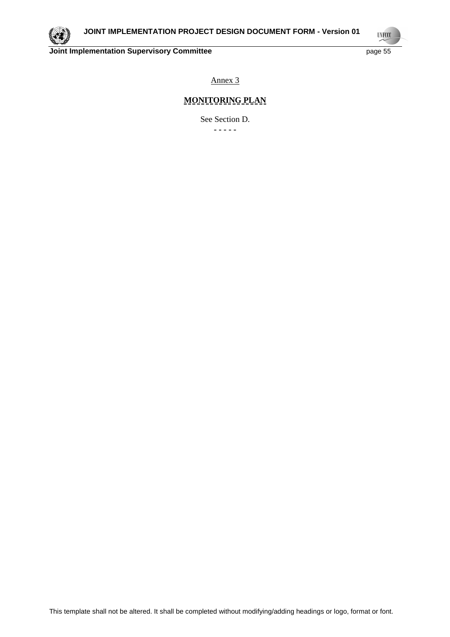

**UNFCCC** 

Annex 3

# **MONITORING PLAN**

See Section D. **- - - - -**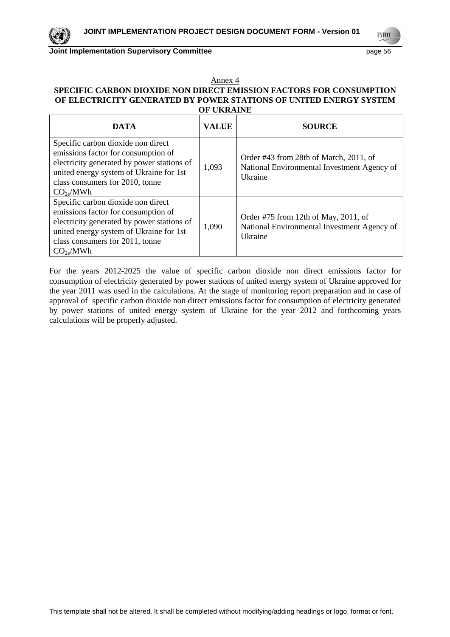**UNFCCC** 

#### Annex 4 **SPECIFIC CARBON DIOXIDE NON DIRECT EMISSION FACTORS FOR CONSUMPTION OF ELECTRICITY GENERATED BY POWER STATIONS OF UNITED ENERGY SYSTEM OF UKRAINE**

| <b>DATA</b>                                                                                                                                                                                                                    | <b>VALUE</b> | <b>SOURCE</b>                                                                                    |  |
|--------------------------------------------------------------------------------------------------------------------------------------------------------------------------------------------------------------------------------|--------------|--------------------------------------------------------------------------------------------------|--|
| Specific carbon dioxide non direct<br>emissions factor for consumption of<br>electricity generated by power stations of<br>united energy system of Ukraine for 1st<br>class consumers for 2010, tonne<br>CO <sub>2e</sub> /MWh | 1,093        | Order #43 from 28th of March, 2011, of<br>National Environmental Investment Agency of<br>Ukraine |  |
| Specific carbon dioxide non direct<br>emissions factor for consumption of<br>electricity generated by power stations of<br>united energy system of Ukraine for 1st<br>class consumers for 2011, tonne<br>CO <sub>2e</sub> /MWh | 1,090        | Order #75 from 12th of May, 2011, of<br>National Environmental Investment Agency of<br>Ukraine   |  |

For the years 2012-2025 the value of specific carbon dioxide non direct emissions factor for consumption of electricity generated by power stations of united energy system of Ukraine approved for the year 2011 was used in the calculations. At the stage of monitoring report preparation and in case of approval of specific carbon dioxide non direct emissions factor for consumption of electricity generated by power stations of united energy system of Ukraine for the year 2012 and forthcoming years calculations will be properly adjusted.